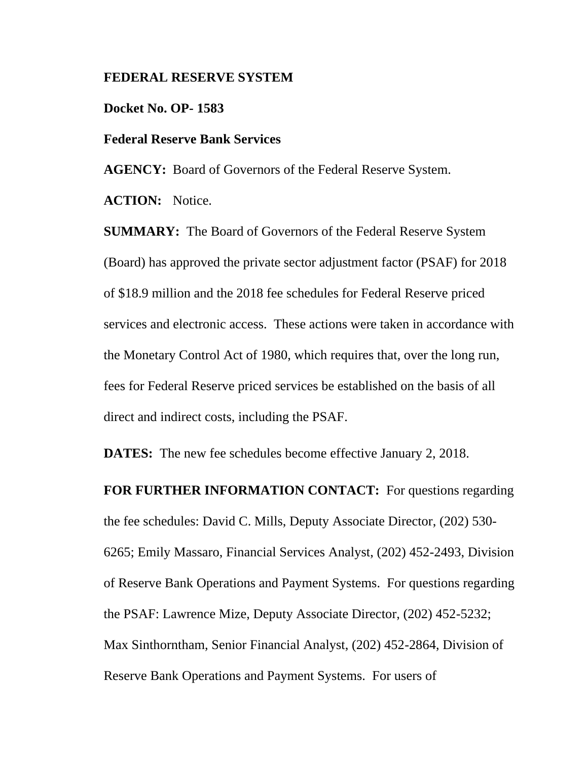## **FEDERAL RESERVE SYSTEM**

## **Docket No. OP- 1583**

## **Federal Reserve Bank Services**

**AGENCY:** Board of Governors of the Federal Reserve System.

**ACTION:** Notice.

**SUMMARY:** The Board of Governors of the Federal Reserve System (Board) has approved the private sector adjustment factor (PSAF) for 2018 of \$18.9 million and the 2018 fee schedules for Federal Reserve priced services and electronic access. These actions were taken in accordance with the Monetary Control Act of 1980, which requires that, over the long run, fees for Federal Reserve priced services be established on the basis of all direct and indirect costs, including the PSAF.

**DATES:** The new fee schedules become effective January 2, 2018.

**FOR FURTHER INFORMATION CONTACT:** For questions regarding the fee schedules: David C. Mills, Deputy Associate Director, (202) 530- 6265; Emily Massaro, Financial Services Analyst, (202) 452-2493, Division of Reserve Bank Operations and Payment Systems. For questions regarding the PSAF: Lawrence Mize, Deputy Associate Director, (202) 452-5232; Max Sinthorntham, Senior Financial Analyst, (202) 452-2864, Division of Reserve Bank Operations and Payment Systems. For users of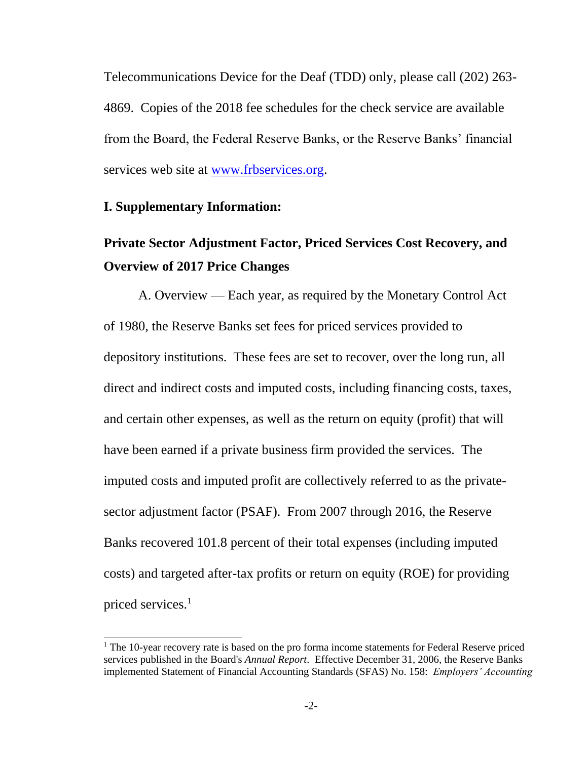Telecommunications Device for the Deaf (TDD) only, please call (202) 263- 4869. Copies of the 2018 fee schedules for the check service are available from the Board, the Federal Reserve Banks, or the Reserve Banks' financial services web site at [www.frbservices.org.](http://www.frbservices.org/)

## **I. Supplementary Information:**

l

# **Private Sector Adjustment Factor, Priced Services Cost Recovery, and Overview of 2017 Price Changes**

A. Overview — Each year, as required by the Monetary Control Act of 1980, the Reserve Banks set fees for priced services provided to depository institutions. These fees are set to recover, over the long run, all direct and indirect costs and imputed costs, including financing costs, taxes, and certain other expenses, as well as the return on equity (profit) that will have been earned if a private business firm provided the services. The imputed costs and imputed profit are collectively referred to as the privatesector adjustment factor (PSAF). From 2007 through 2016, the Reserve Banks recovered 101.8 percent of their total expenses (including imputed costs) and targeted after-tax profits or return on equity (ROE) for providing priced services.<sup>1</sup>

<sup>&</sup>lt;sup>1</sup> The 10-year recovery rate is based on the pro forma income statements for Federal Reserve priced services published in the Board's *Annual Report*. Effective December 31, 2006, the Reserve Banks implemented Statement of Financial Accounting Standards (SFAS) No. 158: *Employers' Accounting*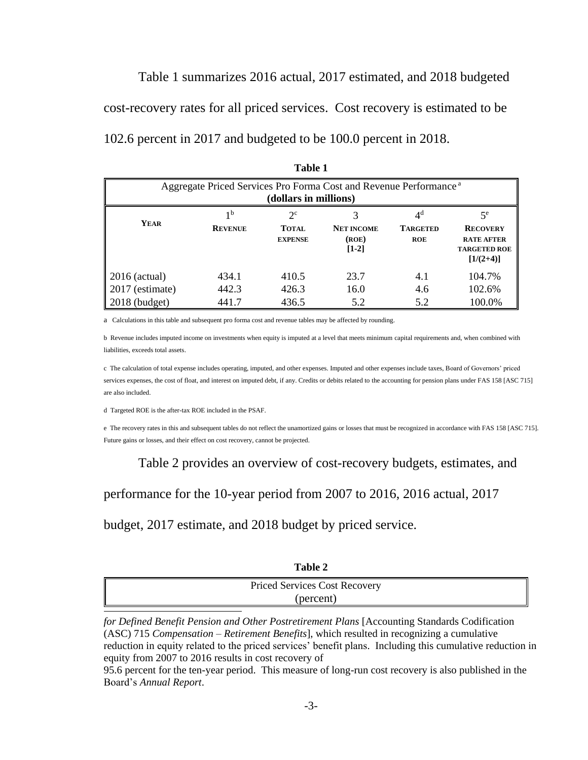Table 1 summarizes 2016 actual, 2017 estimated, and 2018 budgeted cost-recovery rates for all priced services. Cost recovery is estimated to be 102.6 percent in 2017 and budgeted to be 100.0 percent in 2018.

| Aggregate Priced Services Pro Forma Cost and Revenue Performance <sup>a</sup><br>(dollars in millions) |                                  |                                               |                                       |                                                 |                                                                      |  |
|--------------------------------------------------------------------------------------------------------|----------------------------------|-----------------------------------------------|---------------------------------------|-------------------------------------------------|----------------------------------------------------------------------|--|
| <b>YEAR</b>                                                                                            | 1 <sup>b</sup><br><b>REVENUE</b> | $2^{\circ}$<br><b>TOTAL</b><br><b>EXPENSE</b> | <b>NET INCOME</b><br>(ROE)<br>$[1-2]$ | 4 <sup>d</sup><br><b>TARGETED</b><br><b>ROE</b> | $5^e$<br><b>RECOVERY</b><br><b>RATE AFTER</b><br><b>TARGETED ROE</b> |  |
| $\vert$ 2016 (actual)<br>2017 (estimate)<br>$2018$ (budget)                                            | 434.1<br>442.3<br>441.7          | 410.5<br>426.3<br>436.5                       | 23.7<br>16.0<br>5.2                   | 4.1<br>4.6<br>5.2                               | $[1/(2+4)]$<br>104.7%<br>102.6%<br>100.0%                            |  |

| m<br>н |  |
|--------|--|
|--------|--|

a Calculations in this table and subsequent pro forma cost and revenue tables may be affected by rounding.

b Revenue includes imputed income on investments when equity is imputed at a level that meets minimum capital requirements and, when combined with liabilities, exceeds total assets.

c The calculation of total expense includes operating, imputed, and other expenses. Imputed and other expenses include taxes, Board of Governors' priced services expenses, the cost of float, and interest on imputed debt, if any. Credits or debits related to the accounting for pension plans under FAS 158 [ASC 715] are also included.

d Targeted ROE is the after-tax ROE included in the PSAF.

e The recovery rates in this and subsequent tables do not reflect the unamortized gains or losses that must be recognized in accordance with FAS 158 [ASC 715]. Future gains or losses, and their effect on cost recovery, cannot be projected.

Table 2 provides an overview of cost-recovery budgets, estimates, and

performance for the 10-year period from 2007 to 2016, 2016 actual, 2017

budget, 2017 estimate, and 2018 budget by priced service.

| П<br>Ι |  |
|--------|--|
|--------|--|

|           | <b>Priced Services Cost Recovery</b> |  |  |
|-----------|--------------------------------------|--|--|
| (percent) |                                      |  |  |
|           |                                      |  |  |

*for Defined Benefit Pension and Other Postretirement Plans* [Accounting Standards Codification (ASC) 715 *Compensation – Retirement Benefits*], which resulted in recognizing a cumulative reduction in equity related to the priced services' benefit plans. Including this cumulative reduction in equity from 2007 to 2016 results in cost recovery of

95.6 percent for the ten-year period. This measure of long-run cost recovery is also published in the Board's *Annual Report*.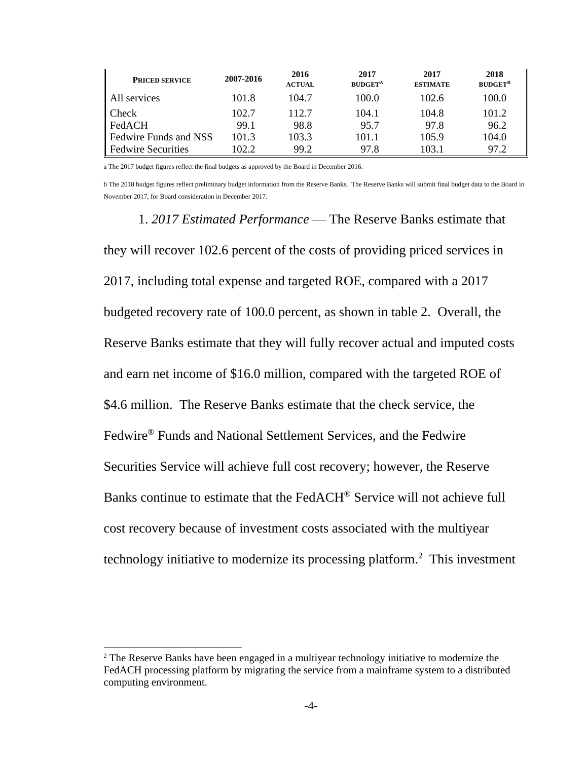| <b>PRICED SERVICE</b>        | 2007-2016 | 2016<br><b>ACTUAL</b> | 2017<br><b>BUDGET<sup>A</sup></b> | 2017<br><b>ESTIMATE</b> | 2018<br><b>BUDGET</b> <sup>B</sup> |
|------------------------------|-----------|-----------------------|-----------------------------------|-------------------------|------------------------------------|
| All services                 | 101.8     | 104.7                 | 100.0                             | 102.6                   | 100.0                              |
| Check                        | 102.7     | 112.7                 | 104.1                             | 104.8                   | 101.2                              |
| $\parallel$ FedACH           | 99.1      | 98.8                  | 95.7                              | 97.8                    | 96.2                               |
| <b>Fedwire Funds and NSS</b> | 101.3     | 103.3                 | 101.1                             | 105.9                   | 104.0                              |
| <b>Fedwire Securities</b>    | 102.2     | 99.2                  | 97.8                              | 103.1                   | 97.2                               |

a The 2017 budget figures reflect the final budgets as approved by the Board in December 2016.

b The 2018 budget figures reflect preliminary budget information from the Reserve Banks. The Reserve Banks will submit final budget data to the Board in November 2017, for Board consideration in December 2017.

1. *2017 Estimated Performance* — The Reserve Banks estimate that they will recover 102.6 percent of the costs of providing priced services in 2017, including total expense and targeted ROE, compared with a 2017 budgeted recovery rate of 100.0 percent, as shown in table 2. Overall, the Reserve Banks estimate that they will fully recover actual and imputed costs and earn net income of \$16.0 million, compared with the targeted ROE of \$4.6 million. The Reserve Banks estimate that the check service, the Fedwire® Funds and National Settlement Services, and the Fedwire Securities Service will achieve full cost recovery; however, the Reserve Banks continue to estimate that the FedACH® Service will not achieve full cost recovery because of investment costs associated with the multiyear technology initiative to modernize its processing platform. 2 This investment

<sup>2</sup> The Reserve Banks have been engaged in a multiyear technology initiative to modernize the FedACH processing platform by migrating the service from a mainframe system to a distributed computing environment.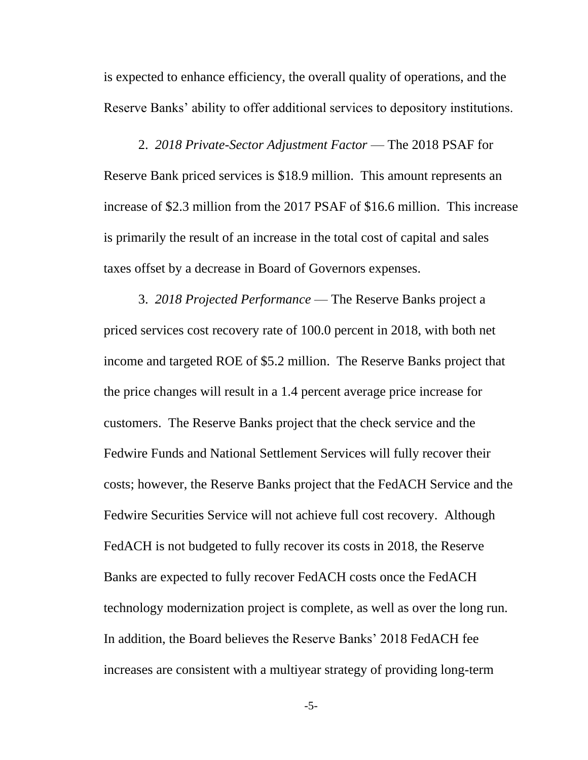is expected to enhance efficiency, the overall quality of operations, and the Reserve Banks' ability to offer additional services to depository institutions.

2. *2018 Private-Sector Adjustment Factor* — The 2018 PSAF for Reserve Bank priced services is \$18.9 million. This amount represents an increase of \$2.3 million from the 2017 PSAF of \$16.6 million. This increase is primarily the result of an increase in the total cost of capital and sales taxes offset by a decrease in Board of Governors expenses.

3. *2018 Projected Performance* — The Reserve Banks project a priced services cost recovery rate of 100.0 percent in 2018, with both net income and targeted ROE of \$5.2 million. The Reserve Banks project that the price changes will result in a 1.4 percent average price increase for customers. The Reserve Banks project that the check service and the Fedwire Funds and National Settlement Services will fully recover their costs; however, the Reserve Banks project that the FedACH Service and the Fedwire Securities Service will not achieve full cost recovery. Although FedACH is not budgeted to fully recover its costs in 2018, the Reserve Banks are expected to fully recover FedACH costs once the FedACH technology modernization project is complete, as well as over the long run. In addition, the Board believes the Reserve Banks' 2018 FedACH fee increases are consistent with a multiyear strategy of providing long-term

-5-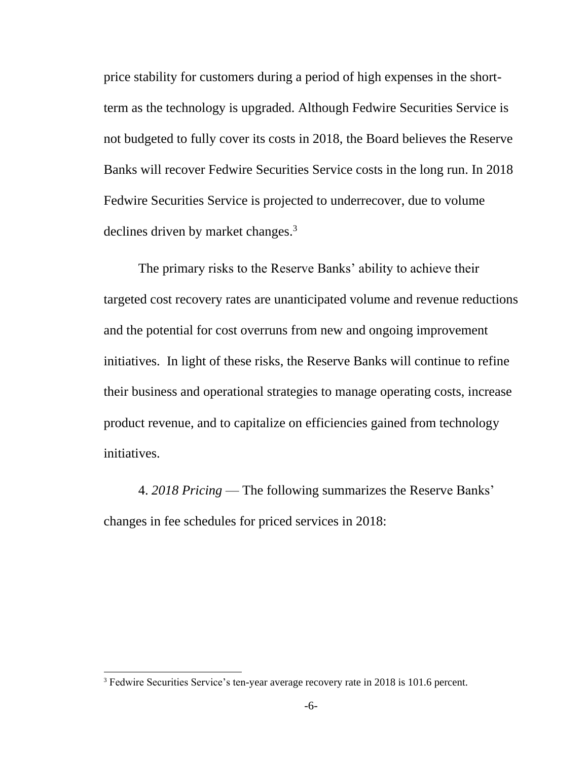price stability for customers during a period of high expenses in the shortterm as the technology is upgraded. Although Fedwire Securities Service is not budgeted to fully cover its costs in 2018, the Board believes the Reserve Banks will recover Fedwire Securities Service costs in the long run. In 2018 Fedwire Securities Service is projected to underrecover, due to volume declines driven by market changes.<sup>3</sup>

The primary risks to the Reserve Banks' ability to achieve their targeted cost recovery rates are unanticipated volume and revenue reductions and the potential for cost overruns from new and ongoing improvement initiatives. In light of these risks, the Reserve Banks will continue to refine their business and operational strategies to manage operating costs, increase product revenue, and to capitalize on efficiencies gained from technology initiatives.

4. *2018 Pricing* — The following summarizes the Reserve Banks' changes in fee schedules for priced services in 2018:

<sup>&</sup>lt;sup>3</sup> Fedwire Securities Service's ten-year average recovery rate in 2018 is 101.6 percent.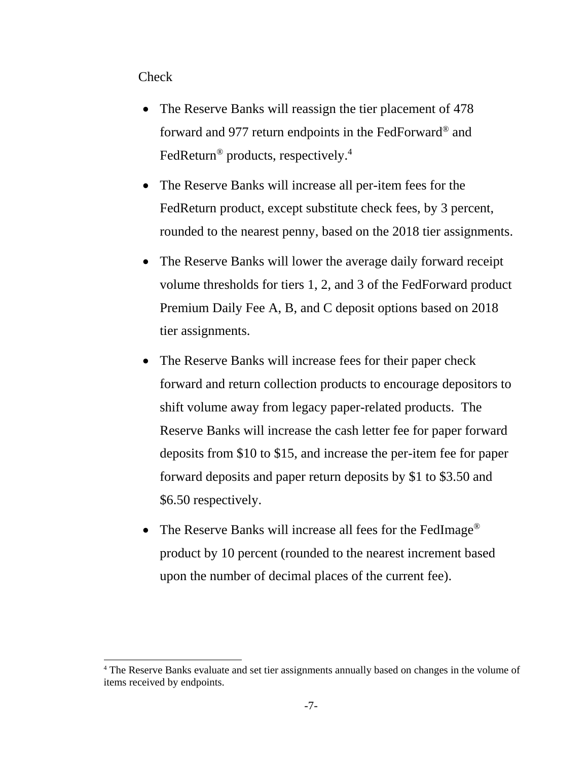**Check** 

- The Reserve Banks will reassign the tier placement of 478 forward and 977 return endpoints in the FedForward® and FedReturn<sup>®</sup> products, respectively.<sup>4</sup>
- The Reserve Banks will increase all per-item fees for the FedReturn product, except substitute check fees, by 3 percent, rounded to the nearest penny, based on the 2018 tier assignments.
- The Reserve Banks will lower the average daily forward receipt volume thresholds for tiers 1, 2, and 3 of the FedForward product Premium Daily Fee A, B, and C deposit options based on 2018 tier assignments.
- The Reserve Banks will increase fees for their paper check forward and return collection products to encourage depositors to shift volume away from legacy paper-related products. The Reserve Banks will increase the cash letter fee for paper forward deposits from \$10 to \$15, and increase the per-item fee for paper forward deposits and paper return deposits by \$1 to \$3.50 and \$6.50 respectively.
- The Reserve Banks will increase all fees for the FedImage<sup>®</sup> product by 10 percent (rounded to the nearest increment based upon the number of decimal places of the current fee).

<sup>4</sup> The Reserve Banks evaluate and set tier assignments annually based on changes in the volume of items received by endpoints.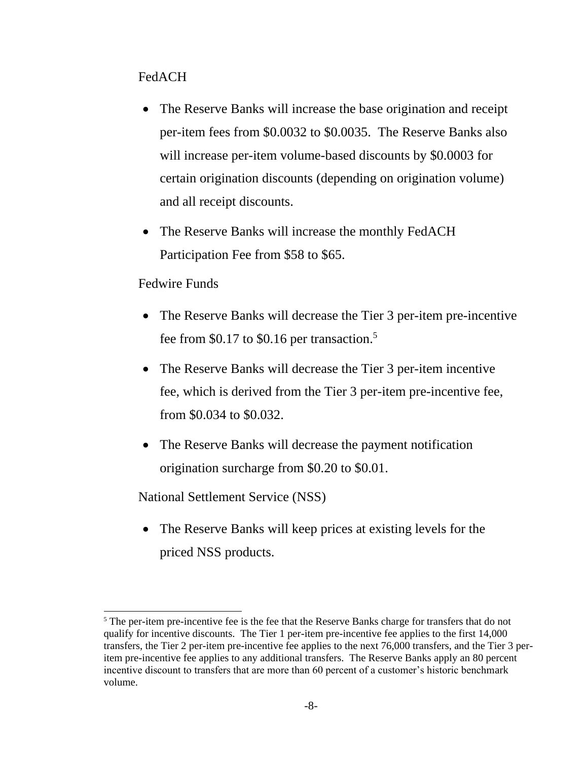# FedACH

- The Reserve Banks will increase the base origination and receipt per-item fees from \$0.0032 to \$0.0035. The Reserve Banks also will increase per-item volume-based discounts by \$0.0003 for certain origination discounts (depending on origination volume) and all receipt discounts.
- The Reserve Banks will increase the monthly FedACH Participation Fee from \$58 to \$65.

# Fedwire Funds

 $\overline{a}$ 

- The Reserve Banks will decrease the Tier 3 per-item pre-incentive fee from \$0.17 to \$0.16 per transaction.<sup>5</sup>
- The Reserve Banks will decrease the Tier 3 per-item incentive fee, which is derived from the Tier 3 per-item pre-incentive fee, from \$0.034 to \$0.032.
- The Reserve Banks will decrease the payment notification origination surcharge from \$0.20 to \$0.01.

National Settlement Service (NSS)

• The Reserve Banks will keep prices at existing levels for the priced NSS products.

<sup>&</sup>lt;sup>5</sup> The per-item pre-incentive fee is the fee that the Reserve Banks charge for transfers that do not qualify for incentive discounts. The Tier 1 per-item pre-incentive fee applies to the first 14,000 transfers, the Tier 2 per-item pre-incentive fee applies to the next 76,000 transfers, and the Tier 3 peritem pre-incentive fee applies to any additional transfers. The Reserve Banks apply an 80 percent incentive discount to transfers that are more than 60 percent of a customer's historic benchmark volume.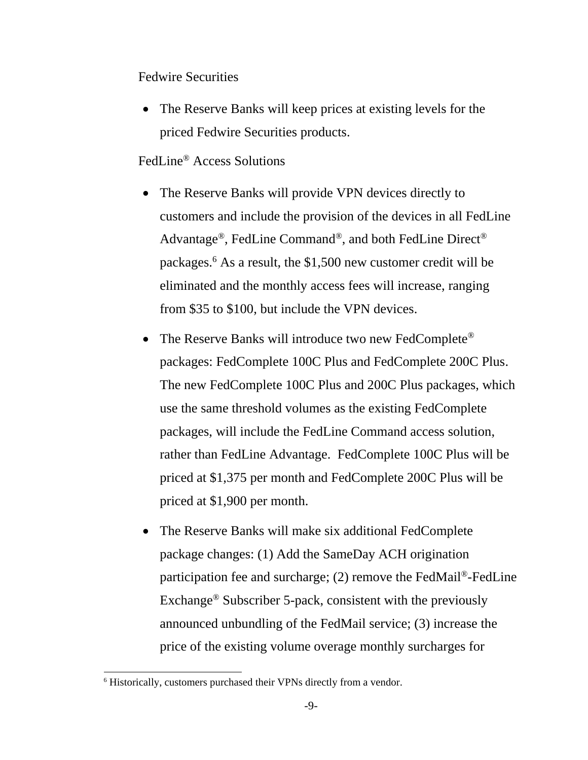Fedwire Securities

• The Reserve Banks will keep prices at existing levels for the priced Fedwire Securities products.

# FedLine® Access Solutions

- The Reserve Banks will provide VPN devices directly to customers and include the provision of the devices in all FedLine Advantage®, FedLine Command®, and both FedLine Direct® packages. <sup>6</sup> As a result, the \$1,500 new customer credit will be eliminated and the monthly access fees will increase, ranging from \$35 to \$100, but include the VPN devices.
- The Reserve Banks will introduce two new FedComplete<sup>®</sup> packages: FedComplete 100C Plus and FedComplete 200C Plus. The new FedComplete 100C Plus and 200C Plus packages, which use the same threshold volumes as the existing FedComplete packages, will include the FedLine Command access solution, rather than FedLine Advantage. FedComplete 100C Plus will be priced at \$1,375 per month and FedComplete 200C Plus will be priced at \$1,900 per month.
- The Reserve Banks will make six additional FedComplete package changes: (1) Add the SameDay ACH origination participation fee and surcharge; (2) remove the FedMail®-FedLine Exchange® Subscriber 5-pack, consistent with the previously announced unbundling of the FedMail service; (3) increase the price of the existing volume overage monthly surcharges for

 $\overline{a}$ <sup>6</sup> Historically, customers purchased their VPNs directly from a vendor.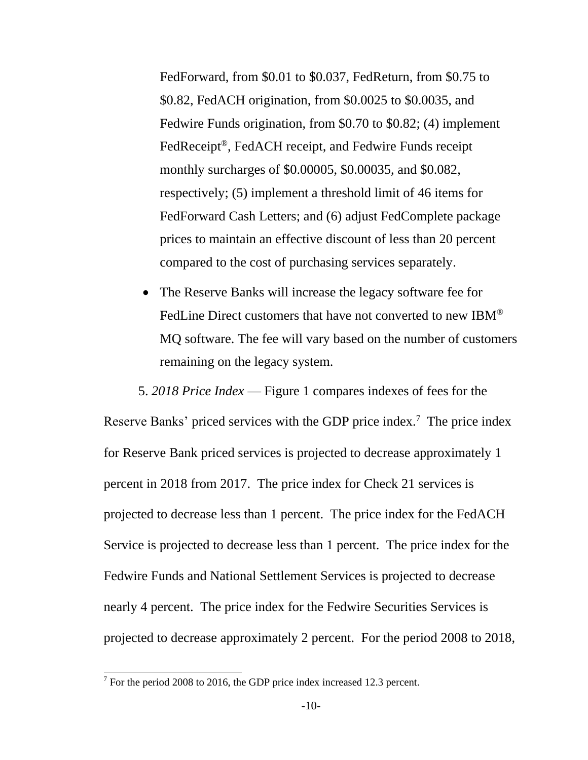FedForward, from \$0.01 to \$0.037, FedReturn, from \$0.75 to \$0.82, FedACH origination, from \$0.0025 to \$0.0035, and Fedwire Funds origination, from \$0.70 to \$0.82; (4) implement FedReceipt®, FedACH receipt, and Fedwire Funds receipt monthly surcharges of \$0.00005, \$0.00035, and \$0.082, respectively; (5) implement a threshold limit of 46 items for FedForward Cash Letters; and (6) adjust FedComplete package prices to maintain an effective discount of less than 20 percent compared to the cost of purchasing services separately.

• The Reserve Banks will increase the legacy software fee for FedLine Direct customers that have not converted to new IBM® MQ software. The fee will vary based on the number of customers remaining on the legacy system.

5. *2018 Price Index* — Figure 1 compares indexes of fees for the Reserve Banks' priced services with the GDP price index.<sup>7</sup> The price index for Reserve Bank priced services is projected to decrease approximately 1 percent in 2018 from 2017. The price index for Check 21 services is projected to decrease less than 1 percent. The price index for the FedACH Service is projected to decrease less than 1 percent. The price index for the Fedwire Funds and National Settlement Services is projected to decrease nearly 4 percent. The price index for the Fedwire Securities Services is projected to decrease approximately 2 percent. For the period 2008 to 2018,

 $7$  For the period 2008 to 2016, the GDP price index increased 12.3 percent.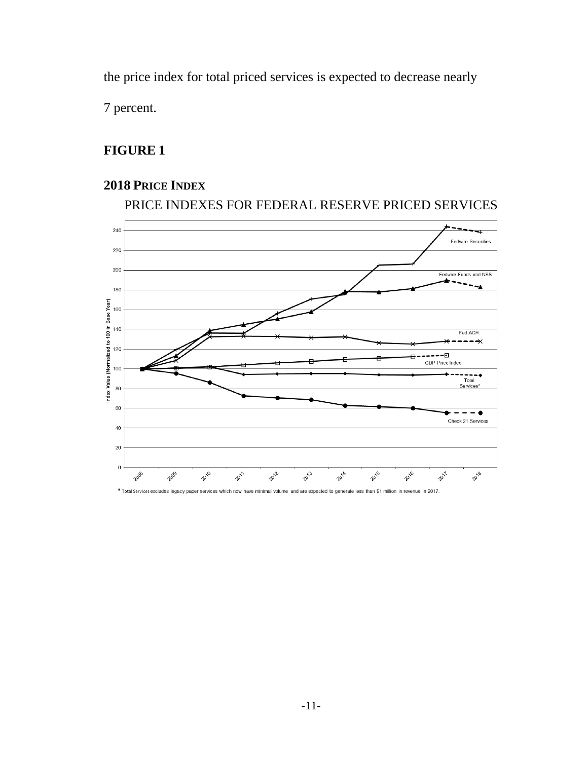the price index for total priced services is expected to decrease nearly

7 percent.

# **FIGURE 1**

# **2018 PRICE INDEX**

# PRICE INDEXES FOR FEDERAL RESERVE PRICED SERVICES

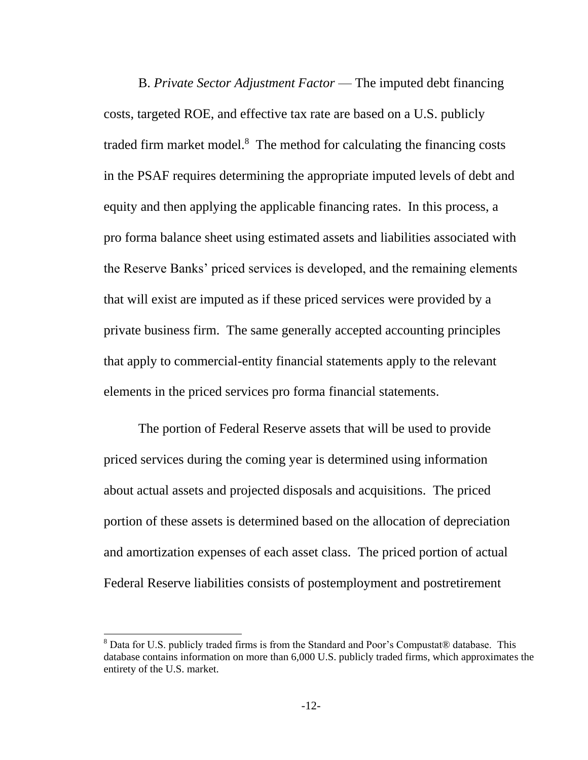B. *Private Sector Adjustment Factor* — The imputed debt financing costs, targeted ROE, and effective tax rate are based on a U.S. publicly traded firm market model.<sup>8</sup> The method for calculating the financing costs in the PSAF requires determining the appropriate imputed levels of debt and equity and then applying the applicable financing rates. In this process, a pro forma balance sheet using estimated assets and liabilities associated with the Reserve Banks' priced services is developed, and the remaining elements that will exist are imputed as if these priced services were provided by a private business firm. The same generally accepted accounting principles that apply to commercial-entity financial statements apply to the relevant elements in the priced services pro forma financial statements.

The portion of Federal Reserve assets that will be used to provide priced services during the coming year is determined using information about actual assets and projected disposals and acquisitions. The priced portion of these assets is determined based on the allocation of depreciation and amortization expenses of each asset class. The priced portion of actual Federal Reserve liabilities consists of postemployment and postretirement

l

<sup>8</sup> Data for U.S. publicly traded firms is from the Standard and Poor's Compustat® database. This database contains information on more than 6,000 U.S. publicly traded firms, which approximates the entirety of the U.S. market.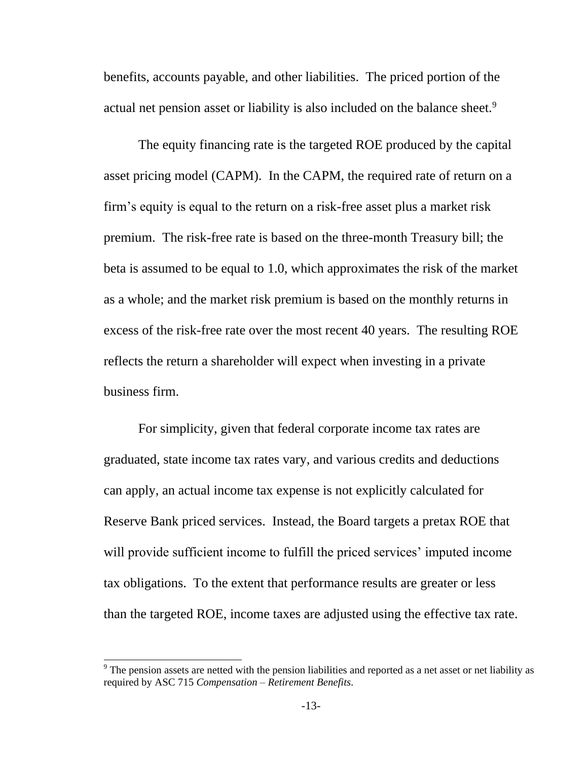benefits, accounts payable, and other liabilities. The priced portion of the actual net pension asset or liability is also included on the balance sheet.<sup>9</sup>

The equity financing rate is the targeted ROE produced by the capital asset pricing model (CAPM). In the CAPM, the required rate of return on a firm's equity is equal to the return on a risk-free asset plus a market risk premium. The risk-free rate is based on the three-month Treasury bill; the beta is assumed to be equal to 1.0, which approximates the risk of the market as a whole; and the market risk premium is based on the monthly returns in excess of the risk-free rate over the most recent 40 years. The resulting ROE reflects the return a shareholder will expect when investing in a private business firm.

For simplicity, given that federal corporate income tax rates are graduated, state income tax rates vary, and various credits and deductions can apply, an actual income tax expense is not explicitly calculated for Reserve Bank priced services. Instead, the Board targets a pretax ROE that will provide sufficient income to fulfill the priced services' imputed income tax obligations. To the extent that performance results are greater or less than the targeted ROE, income taxes are adjusted using the effective tax rate.

<sup>&</sup>lt;sup>9</sup> The pension assets are netted with the pension liabilities and reported as a net asset or net liability as required by ASC 715 *Compensation – Retirement Benefits*.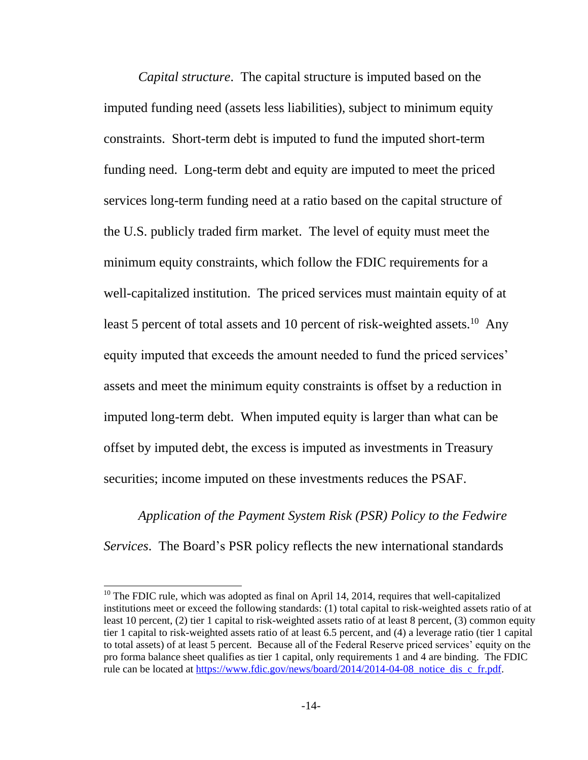*Capital structure*. The capital structure is imputed based on the imputed funding need (assets less liabilities), subject to minimum equity constraints. Short-term debt is imputed to fund the imputed short-term funding need. Long-term debt and equity are imputed to meet the priced services long-term funding need at a ratio based on the capital structure of the U.S. publicly traded firm market. The level of equity must meet the minimum equity constraints, which follow the FDIC requirements for a well-capitalized institution. The priced services must maintain equity of at least 5 percent of total assets and 10 percent of risk-weighted assets.<sup>10</sup> Any equity imputed that exceeds the amount needed to fund the priced services' assets and meet the minimum equity constraints is offset by a reduction in imputed long-term debt. When imputed equity is larger than what can be offset by imputed debt, the excess is imputed as investments in Treasury securities; income imputed on these investments reduces the PSAF.

*Application of the Payment System Risk (PSR) Policy to the Fedwire Services*. The Board's PSR policy reflects the new international standards

 $10$  The FDIC rule, which was adopted as final on April 14, 2014, requires that well-capitalized institutions meet or exceed the following standards: (1) total capital to risk-weighted assets ratio of at least 10 percent, (2) tier 1 capital to risk-weighted assets ratio of at least 8 percent, (3) common equity tier 1 capital to risk-weighted assets ratio of at least 6.5 percent, and (4) a leverage ratio (tier 1 capital to total assets) of at least 5 percent. Because all of the Federal Reserve priced services' equity on the pro forma balance sheet qualifies as tier 1 capital, only requirements 1 and 4 are binding. The FDIC rule can be located at https://www.fdic.gov/news/board/2014/2014-04-08 notice dis c\_fr.pdf.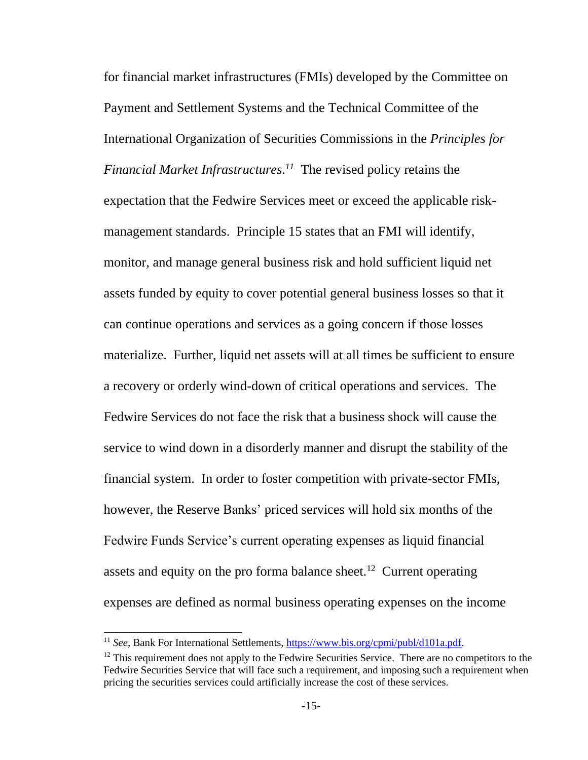for financial market infrastructures (FMIs) developed by the Committee on Payment and Settlement Systems and the Technical Committee of the International Organization of Securities Commissions in the *Principles for Financial Market Infrastructures. 11* The revised policy retains the expectation that the Fedwire Services meet or exceed the applicable riskmanagement standards. Principle 15 states that an FMI will identify, monitor, and manage general business risk and hold sufficient liquid net assets funded by equity to cover potential general business losses so that it can continue operations and services as a going concern if those losses materialize. Further, liquid net assets will at all times be sufficient to ensure a recovery or orderly wind-down of critical operations and services. The Fedwire Services do not face the risk that a business shock will cause the service to wind down in a disorderly manner and disrupt the stability of the financial system. In order to foster competition with private-sector FMIs, however, the Reserve Banks' priced services will hold six months of the Fedwire Funds Service's current operating expenses as liquid financial assets and equity on the pro forma balance sheet.<sup>12</sup> Current operating expenses are defined as normal business operating expenses on the income

l

<sup>&</sup>lt;sup>11</sup> *See*, Bank For International Settlements, [https://www.bis.org/cpmi/publ/d101a.pdf.](https://www.bis.org/cpmi/publ/d101a.pdf)

 $12$  This requirement does not apply to the Fedwire Securities Service. There are no competitors to the Fedwire Securities Service that will face such a requirement, and imposing such a requirement when pricing the securities services could artificially increase the cost of these services.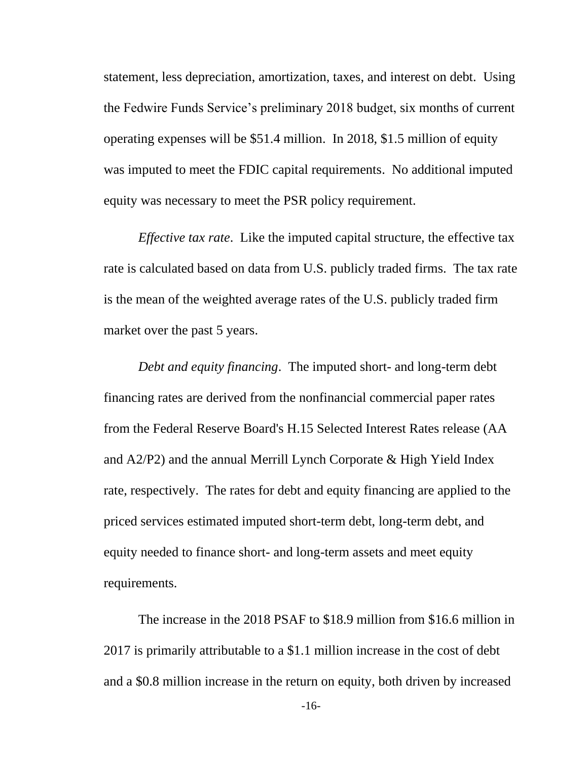statement, less depreciation, amortization, taxes, and interest on debt. Using the Fedwire Funds Service's preliminary 2018 budget, six months of current operating expenses will be \$51.4 million. In 2018, \$1.5 million of equity was imputed to meet the FDIC capital requirements. No additional imputed equity was necessary to meet the PSR policy requirement.

*Effective tax rate*. Like the imputed capital structure, the effective tax rate is calculated based on data from U.S. publicly traded firms. The tax rate is the mean of the weighted average rates of the U.S. publicly traded firm market over the past 5 years.

*Debt and equity financing*. The imputed short- and long-term debt financing rates are derived from the nonfinancial commercial paper rates from the Federal Reserve Board's H.15 Selected Interest Rates release (AA and A2/P2) and the annual Merrill Lynch Corporate & High Yield Index rate, respectively. The rates for debt and equity financing are applied to the priced services estimated imputed short-term debt, long-term debt, and equity needed to finance short- and long-term assets and meet equity requirements.

The increase in the 2018 PSAF to \$18.9 million from \$16.6 million in 2017 is primarily attributable to a \$1.1 million increase in the cost of debt and a \$0.8 million increase in the return on equity, both driven by increased

-16-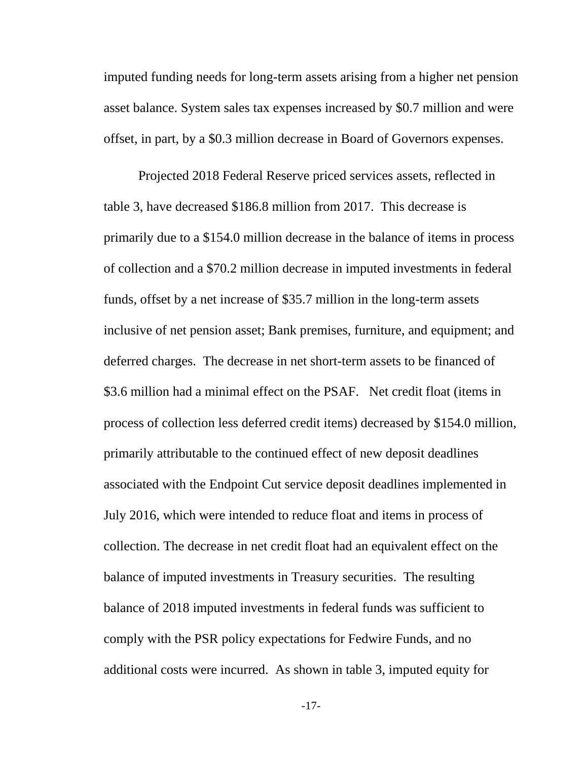imputed funding needs for long-term assets arising from a higher net pension asset balance. System sales tax expenses increased by \$0.7 million and were offset, in part, by a \$0.3 million decrease in Board of Governors expenses.

Projected 2018 Federal Reserve priced services assets, reflected in table 3, have decreased \$186.8 million from 2017. This decrease is primarily due to a \$154.0 million decrease in the balance of items in process of collection and a \$70.2 million decrease in imputed investments in federal funds, offset by a net increase of \$35.7 million in the long-term assets inclusive of net pension asset; Bank premises, furniture, and equipment; and deferred charges. The decrease in net short-term assets to be financed of \$3.6 million had a minimal effect on the PSAF. Net credit float (items in process of collection less deferred credit items) decreased by \$154.0 million, primarily attributable to the continued effect of new deposit deadlines associated with the Endpoint Cut service deposit deadlines implemented in July 2016, which were intended to reduce float and items in process of collection. The decrease in net credit float had an equivalent effect on the balance of imputed investments in Treasury securities. The resulting balance of 2018 imputed investments in federal funds was sufficient to comply with the PSR policy expectations for Fedwire Funds, and no additional costs were incurred. As shown in table 3, imputed equity for

-17-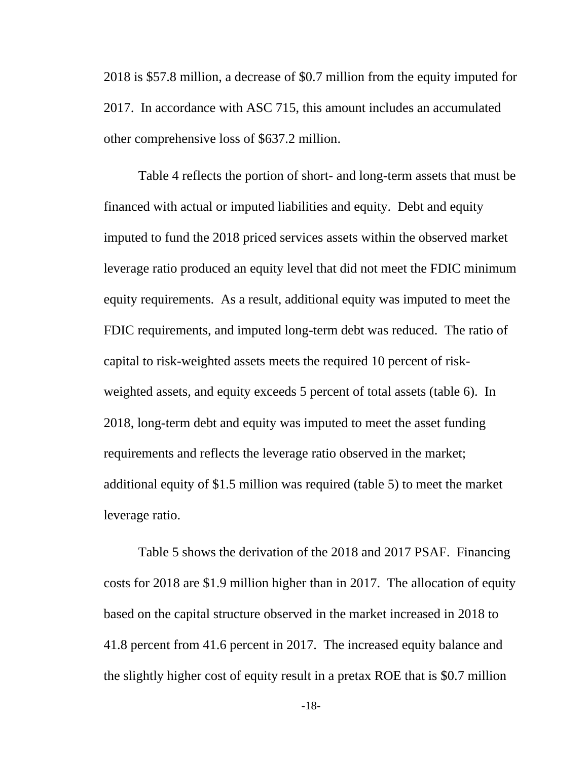2018 is \$57.8 million, a decrease of \$0.7 million from the equity imputed for 2017. In accordance with ASC 715, this amount includes an accumulated other comprehensive loss of \$637.2 million.

Table 4 reflects the portion of short- and long-term assets that must be financed with actual or imputed liabilities and equity. Debt and equity imputed to fund the 2018 priced services assets within the observed market leverage ratio produced an equity level that did not meet the FDIC minimum equity requirements. As a result, additional equity was imputed to meet the FDIC requirements, and imputed long-term debt was reduced. The ratio of capital to risk-weighted assets meets the required 10 percent of riskweighted assets, and equity exceeds 5 percent of total assets (table 6). In 2018, long-term debt and equity was imputed to meet the asset funding requirements and reflects the leverage ratio observed in the market; additional equity of \$1.5 million was required (table 5) to meet the market leverage ratio.

Table 5 shows the derivation of the 2018 and 2017 PSAF. Financing costs for 2018 are \$1.9 million higher than in 2017. The allocation of equity based on the capital structure observed in the market increased in 2018 to 41.8 percent from 41.6 percent in 2017. The increased equity balance and the slightly higher cost of equity result in a pretax ROE that is \$0.7 million

-18-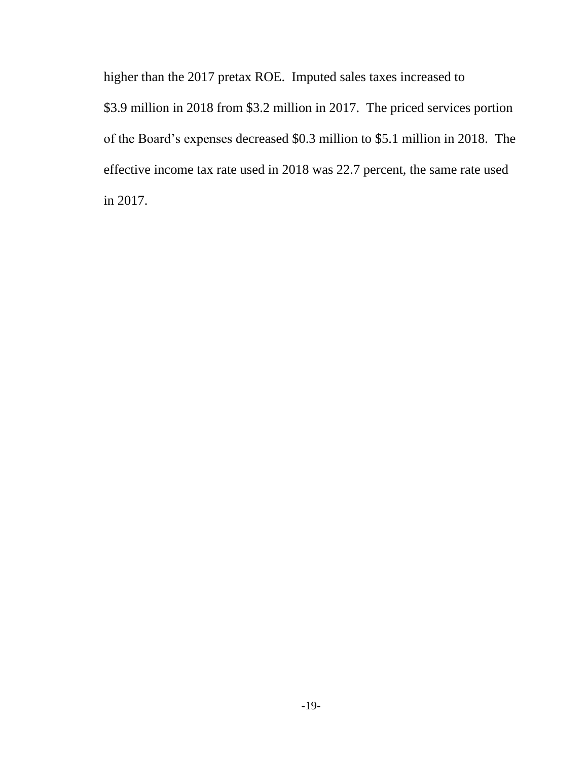higher than the 2017 pretax ROE. Imputed sales taxes increased to \$3.9 million in 2018 from \$3.2 million in 2017. The priced services portion of the Board's expenses decreased \$0.3 million to \$5.1 million in 2018. The effective income tax rate used in 2018 was 22.7 percent, the same rate used in 2017.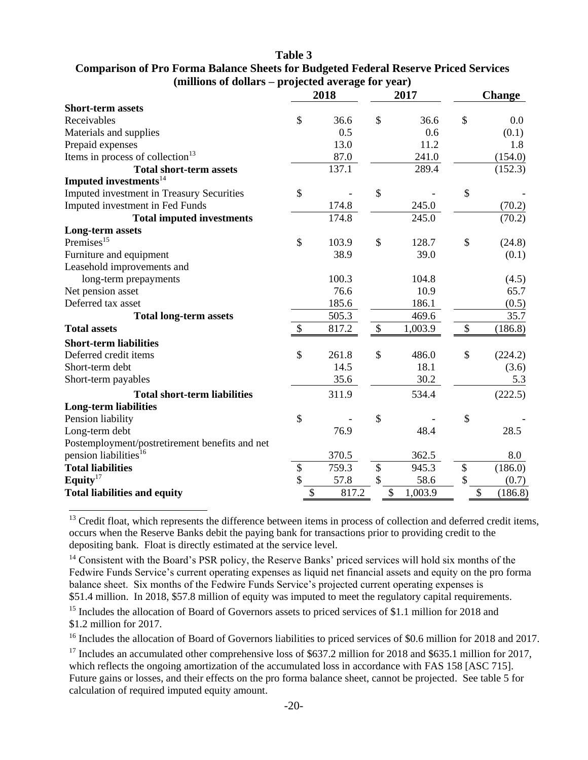#### **Table 3 Comparison of Pro Forma Balance Sheets for Budgeted Federal Reserve Priced Services (millions of dollars – projected average for year)**

|                                                | 2018        |                           | 2017          |               | <b>Change</b> |
|------------------------------------------------|-------------|---------------------------|---------------|---------------|---------------|
| <b>Short-term assets</b>                       |             |                           |               |               |               |
| Receivables                                    | \$<br>36.6  | \$                        | 36.6          | \$            | 0.0           |
| Materials and supplies                         | 0.5         |                           | 0.6           |               | (0.1)         |
| Prepaid expenses                               | 13.0        |                           | 11.2          |               | 1.8           |
| Items in process of collection <sup>13</sup>   | 87.0        |                           | 241.0         |               | (154.0)       |
| <b>Total short-term assets</b>                 | 137.1       |                           | 289.4         |               | (152.3)       |
| Imputed investments <sup>14</sup>              |             |                           |               |               |               |
| Imputed investment in Treasury Securities      | \$          | \$                        |               | \$            |               |
| Imputed investment in Fed Funds                | 174.8       |                           | 245.0         |               | (70.2)        |
| <b>Total imputed investments</b>               | 174.8       |                           | 245.0         |               | (70.2)        |
| <b>Long-term assets</b>                        |             |                           |               |               |               |
| Premises <sup>15</sup>                         | \$<br>103.9 | \$                        | 128.7         | \$            | (24.8)        |
| Furniture and equipment                        | 38.9        |                           | 39.0          |               | (0.1)         |
| Leasehold improvements and                     |             |                           |               |               |               |
| long-term prepayments                          | 100.3       |                           | 104.8         |               | (4.5)         |
| Net pension asset                              | 76.6        |                           | 10.9          |               | 65.7          |
| Deferred tax asset                             | 185.6       |                           | 186.1         |               | (0.5)         |
| <b>Total long-term assets</b>                  | 505.3       |                           | 469.6         |               | 35.7          |
| <b>Total assets</b>                            | \$<br>817.2 | $\boldsymbol{\mathsf{S}}$ | 1,003.9       | \$            | (186.8)       |
| <b>Short-term liabilities</b>                  |             |                           |               |               |               |
| Deferred credit items                          | \$<br>261.8 | \$                        | 486.0         | \$            | (224.2)       |
| Short-term debt                                | 14.5        |                           | 18.1          |               | (3.6)         |
| Short-term payables                            | 35.6        |                           | 30.2          |               | 5.3           |
| <b>Total short-term liabilities</b>            | 311.9       |                           | 534.4         |               | (222.5)       |
| <b>Long-term liabilities</b>                   |             |                           |               |               |               |
| Pension liability                              | \$          | \$                        |               | \$            |               |
| Long-term debt                                 | 76.9        |                           | 48.4          |               | 28.5          |
| Postemployment/postretirement benefits and net |             |                           |               |               |               |
| pension liabilities <sup>16</sup>              | 370.5       |                           | 362.5         |               | 8.0           |
| <b>Total liabilities</b>                       | \$<br>759.3 | \$                        | 945.3         | \$            | (186.0)       |
| Equity $17$                                    | \$<br>57.8  | \$                        | 58.6          | $\mathcal{S}$ | (0.7)         |
| <b>Total liabilities and equity</b>            | \$<br>817.2 |                           | \$<br>1,003.9 | \$            | (186.8)       |

<sup>13</sup> Credit float, which represents the difference between items in process of collection and deferred credit items, occurs when the Reserve Banks debit the paying bank for transactions prior to providing credit to the depositing bank. Float is directly estimated at the service level.

<sup>14</sup> Consistent with the Board's PSR policy, the Reserve Banks' priced services will hold six months of the Fedwire Funds Service's current operating expenses as liquid net financial assets and equity on the pro forma balance sheet. Six months of the Fedwire Funds Service's projected current operating expenses is \$51.4 million. In 2018, \$57.8 million of equity was imputed to meet the regulatory capital requirements.

<sup>15</sup> Includes the allocation of Board of Governors assets to priced services of \$1.1 million for 2018 and \$1.2 million for 2017.

 $\overline{a}$ 

<sup>16</sup> Includes the allocation of Board of Governors liabilities to priced services of \$0.6 million for 2018 and 2017.

<sup>17</sup> Includes an accumulated other comprehensive loss of \$637.2 million for 2018 and \$635.1 million for 2017, which reflects the ongoing amortization of the accumulated loss in accordance with FAS 158 [ASC 715]. Future gains or losses, and their effects on the pro forma balance sheet, cannot be projected. See table 5 for calculation of required imputed equity amount.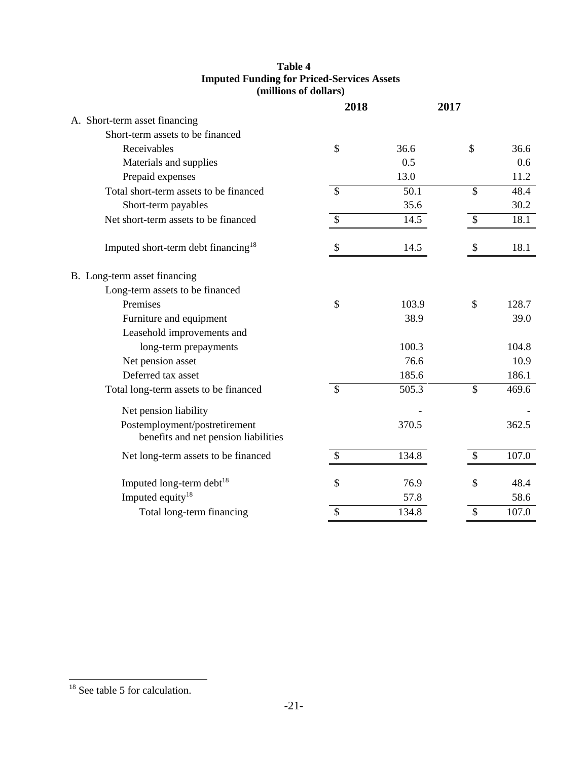## <span id="page-20-0"></span>**Table 4 Imputed Funding for Priced-Services Assets (millions of dollars)**

|                                                                       | 2018          |       | 2017 |               |       |
|-----------------------------------------------------------------------|---------------|-------|------|---------------|-------|
| A. Short-term asset financing                                         |               |       |      |               |       |
| Short-term assets to be financed                                      |               |       |      |               |       |
| Receivables                                                           | $\mathsf{\$}$ | 36.6  |      | \$            | 36.6  |
| Materials and supplies                                                |               | 0.5   |      |               | 0.6   |
| Prepaid expenses                                                      |               | 13.0  |      |               | 11.2  |
| Total short-term assets to be financed                                | $\mathcal{S}$ | 50.1  |      | \$            | 48.4  |
| Short-term payables                                                   |               | 35.6  |      |               | 30.2  |
| Net short-term assets to be financed                                  | \$            | 14.5  |      | \$            | 18.1  |
| Imputed short-term debt financing <sup>18</sup>                       | \$            | 14.5  |      | \$            | 18.1  |
| B. Long-term asset financing                                          |               |       |      |               |       |
| Long-term assets to be financed                                       |               |       |      |               |       |
| Premises                                                              | \$            | 103.9 |      | \$            | 128.7 |
| Furniture and equipment                                               |               | 38.9  |      |               | 39.0  |
| Leasehold improvements and                                            |               |       |      |               |       |
| long-term prepayments                                                 |               | 100.3 |      |               | 104.8 |
| Net pension asset                                                     |               | 76.6  |      |               | 10.9  |
| Deferred tax asset                                                    |               | 185.6 |      |               | 186.1 |
| Total long-term assets to be financed                                 | \$            | 505.3 |      | $\mathcal{S}$ | 469.6 |
| Net pension liability                                                 |               |       |      |               |       |
| Postemployment/postretirement<br>benefits and net pension liabilities |               | 370.5 |      |               | 362.5 |
| Net long-term assets to be financed                                   | \$            | 134.8 |      | \$            | 107.0 |
| Imputed long-term debt <sup>18</sup>                                  | \$            | 76.9  |      | \$            | 48.4  |
| Imputed equity <sup>18</sup>                                          |               | 57.8  |      |               | 58.6  |
| Total long-term financing                                             | \$            | 134.8 |      | \$            | 107.0 |

<sup>&</sup>lt;sup>18</sup> See table 5 for calculation.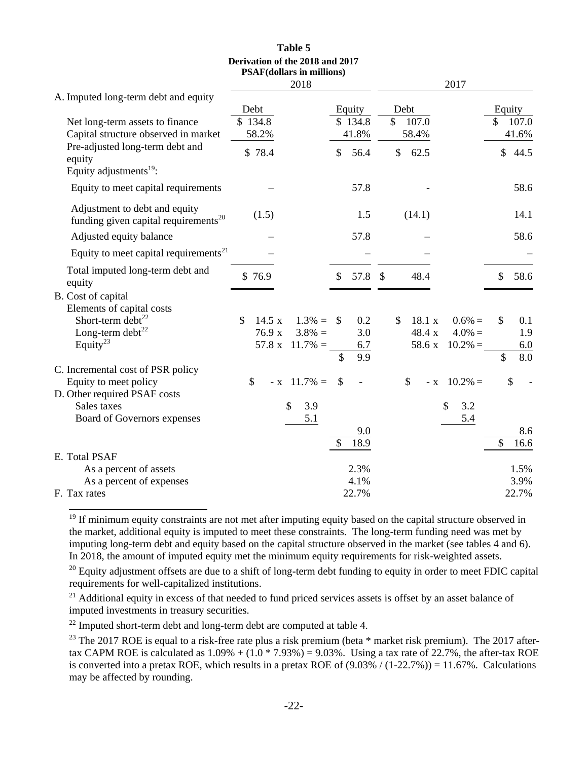|                                                                                   |              | Derivation of the 2018 and 2017<br><b>PSAF(dollars in millions)</b> |               |         |               |             |                   |             |
|-----------------------------------------------------------------------------------|--------------|---------------------------------------------------------------------|---------------|---------|---------------|-------------|-------------------|-------------|
|                                                                                   |              | 2018                                                                |               |         |               |             | 2017              |             |
| A. Imputed long-term debt and equity                                              |              |                                                                     |               |         |               |             |                   |             |
|                                                                                   | Debt         |                                                                     |               | Equity  | Debt          |             |                   | Equity      |
| Net long-term assets to finance                                                   | \$134.8      |                                                                     |               | \$134.8 | \$            | 107.0       |                   | \$<br>107.0 |
| Capital structure observed in market                                              | 58.2%        |                                                                     |               | 41.8%   |               | 58.4%       |                   | 41.6%       |
| Pre-adjusted long-term debt and<br>equity<br>Equity adjustments <sup>19</sup> :   | \$78.4       |                                                                     | $\mathbb{S}$  | 56.4    | $\mathsf{\$}$ | 62.5        |                   | \$44.5      |
| Equity to meet capital requirements                                               |              |                                                                     |               | 57.8    |               |             |                   | 58.6        |
| Adjustment to debt and equity<br>funding given capital requirements <sup>20</sup> | (1.5)        |                                                                     |               | 1.5     |               | (14.1)      |                   | 14.1        |
| Adjusted equity balance                                                           |              |                                                                     |               | 57.8    |               |             |                   | 58.6        |
| Equity to meet capital requirements <sup>21</sup>                                 |              |                                                                     |               |         |               |             |                   |             |
| Total imputed long-term debt and<br>equity                                        | \$76.9       |                                                                     | \$            | 57.8    | \$            | 48.4        |                   | \$<br>58.6  |
| B. Cost of capital                                                                |              |                                                                     |               |         |               |             |                   |             |
| Elements of capital costs                                                         |              |                                                                     |               |         |               |             |                   |             |
| Short-term debt <sup>22</sup>                                                     | \$<br>14.5 x | $1.3\% =$                                                           | $\mathcal{S}$ | 0.2     | \$            | 18.1 x      | $0.6\% =$         | \$<br>0.1   |
| Long-term debt <sup>22</sup>                                                      | 76.9 x       | $3.8\% =$                                                           |               | 3.0     |               | 48.4 x      | $4.0\% =$         | 1.9         |
| Equity <sup>23</sup>                                                              |              | 57.8 x $11.7\% =$                                                   |               | 6.7     |               |             | 58.6 x $10.2\%$ = | 6.0         |
|                                                                                   |              |                                                                     | \$            | 9.9     |               |             |                   | \$<br>8.0   |
| C. Incremental cost of PSR policy<br>Equity to meet policy                        | \$           | $- x 11.7\% =$                                                      | \$            |         |               | \$<br>$- X$ | $10.2\% =$        | \$          |
| D. Other required PSAF costs                                                      |              |                                                                     |               |         |               |             |                   |             |
| Sales taxes                                                                       |              | \$<br>3.9                                                           |               |         |               |             | \$<br>3.2         |             |
| Board of Governors expenses                                                       |              | 5.1                                                                 |               |         |               |             | 5.4               |             |
|                                                                                   |              |                                                                     |               | 9.0     |               |             |                   | 8.6         |
|                                                                                   |              |                                                                     | \$            | 18.9    |               |             |                   | \$<br>16.6  |
| E. Total PSAF                                                                     |              |                                                                     |               |         |               |             |                   |             |
| As a percent of assets                                                            |              |                                                                     |               | 2.3%    |               |             |                   | 1.5%        |
| As a percent of expenses                                                          |              |                                                                     |               | 4.1%    |               |             |                   | 3.9%        |
| F. Tax rates                                                                      |              |                                                                     |               | 22.7%   |               |             |                   | 22.7%       |

**Table 5**

<sup>19</sup> If minimum equity constraints are not met after imputing equity based on the capital structure observed in the market, additional equity is imputed to meet these constraints. The long-term funding need was met by imputing long-term debt and equity based on the capital structure observed in the market (see tables 4 and 6). In 2018, the amount of imputed equity met the minimum equity requirements for risk-weighted assets.

 $20$  Equity adjustment offsets are due to a shift of long-term debt funding to equity in order to meet FDIC capital requirements for well-capitalized institutions.

<sup>21</sup> Additional equity in excess of that needed to fund priced services assets is offset by an asset balance of imputed investments in treasury securities.

<sup>22</sup> Imputed short-term debt and long-term debt are computed at table 4.

<span id="page-21-0"></span> $\overline{a}$ 

<sup>23</sup> The 2017 ROE is equal to a risk-free rate plus a risk premium (beta  $*$  market risk premium). The 2017 aftertax CAPM ROE is calculated as  $1.09\% + (1.0 * 7.93\%) = 9.03\%$ . Using a tax rate of 22.7%, the after-tax ROE is converted into a pretax ROE, which results in a pretax ROE of  $(9.03\% / (1-22.7\%) = 11.67\%$ . Calculations may be affected by rounding.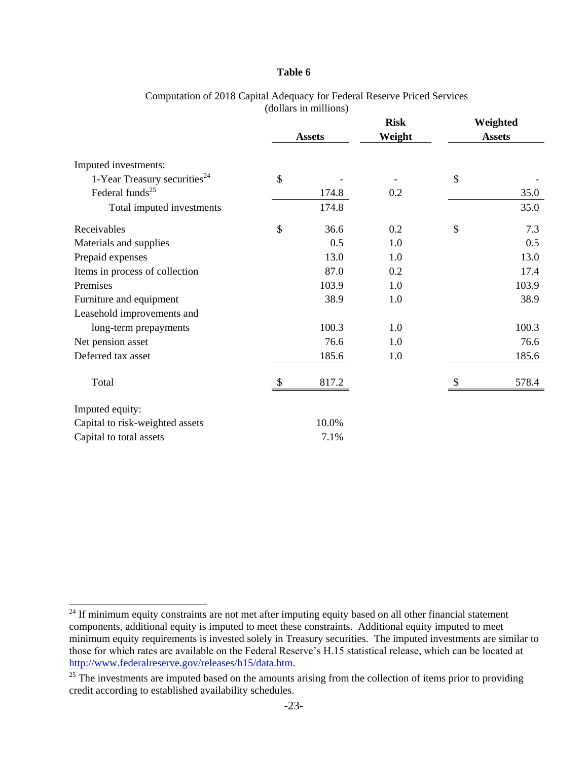### **Table 6**

|                                          | <b>Assets</b> | <b>Risk</b><br>Weight | Weighted<br><b>Assets</b> |
|------------------------------------------|---------------|-----------------------|---------------------------|
| Imputed investments:                     |               |                       |                           |
| 1-Year Treasury securities <sup>24</sup> | \$            |                       | \$                        |
| Federal funds <sup>25</sup>              | 174.8         | 0.2                   | 35.0                      |
| Total imputed investments                | 174.8         |                       | 35.0                      |
| Receivables                              | \$<br>36.6    | 0.2                   | \$<br>7.3                 |
| Materials and supplies                   | 0.5           | 1.0                   | 0.5                       |
| Prepaid expenses                         | 13.0          | 1.0                   | 13.0                      |
| Items in process of collection           | 87.0          | 0.2                   | 17.4                      |
| Premises                                 | 103.9         | 1.0                   | 103.9                     |
| Furniture and equipment                  | 38.9          | 1.0                   | 38.9                      |
| Leasehold improvements and               |               |                       |                           |
| long-term prepayments                    | 100.3         | 1.0                   | 100.3                     |
| Net pension asset                        | 76.6          | 1.0                   | 76.6                      |
| Deferred tax asset                       | 185.6         | 1.0                   | 185.6                     |
| Total                                    | 817.2         |                       | 578.4                     |
| Imputed equity:                          |               |                       |                           |
| Capital to risk-weighted assets          | 10.0%         |                       |                           |
| Capital to total assets                  | 7.1%          |                       |                           |

#### Computation of 2018 Capital Adequacy for Federal Reserve Priced Services (dollars in millions)

 $24$  If minimum equity constraints are not met after imputing equity based on all other financial statement components, additional equity is imputed to meet these constraints. Additional equity imputed to meet minimum equity requirements is invested solely in Treasury securities. The imputed investments are similar to those for which rates are available on the Federal Reserve's H.15 statistical release, which can be located at [http://www.federalreserve.gov/releases/h15/data.htm.](http://www.federalreserve.gov/releases/h15/data.htm)

<sup>&</sup>lt;sup>25</sup> The investments are imputed based on the amounts arising from the collection of items prior to providing credit according to established availability schedules.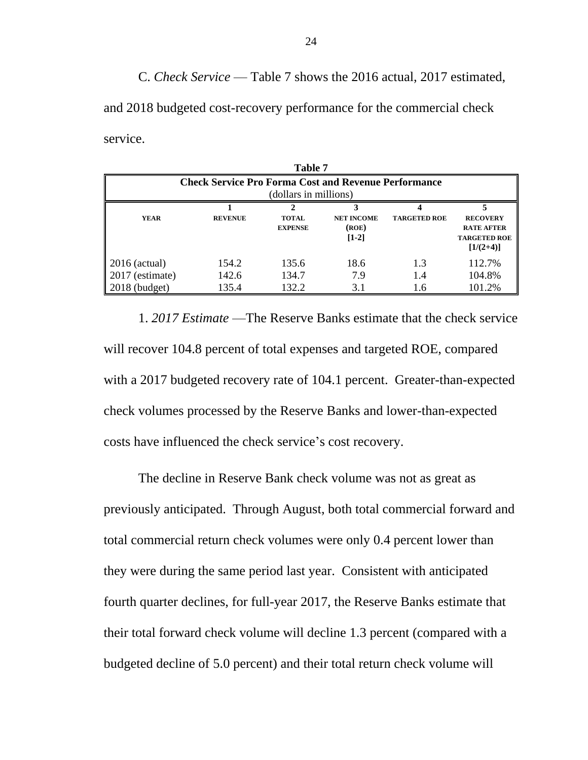C. *Check Service* — Table 7 shows the 2016 actual, 2017 estimated,

and 2018 budgeted cost-recovery performance for the commercial check service.

| Table 7                                                                              |                |                                |                                       |                     |                                                                            |  |
|--------------------------------------------------------------------------------------|----------------|--------------------------------|---------------------------------------|---------------------|----------------------------------------------------------------------------|--|
| <b>Check Service Pro Forma Cost and Revenue Performance</b><br>(dollars in millions) |                |                                |                                       |                     |                                                                            |  |
| <b>YEAR</b>                                                                          | <b>REVENUE</b> | <b>TOTAL</b><br><b>EXPENSE</b> | <b>NET INCOME</b><br>(ROE)<br>$[1-2]$ | <b>TARGETED ROE</b> | <b>RECOVERY</b><br><b>RATE AFTER</b><br><b>TARGETED ROE</b><br>$[1/(2+4)]$ |  |
| $2016$ (actual)<br>2017 (estimate)                                                   | 154.2<br>142.6 | 135.6<br>134.7                 | 18.6<br>7.9                           | 1.3<br>1.4          | 112.7%<br>104.8%                                                           |  |
| $2018$ (budget)                                                                      | 135.4          | 132.2                          | 3.1                                   | 1.6                 | 101.2%                                                                     |  |

1. *2017 Estimate* —The Reserve Banks estimate that the check service will recover 104.8 percent of total expenses and targeted ROE, compared with a 2017 budgeted recovery rate of 104.1 percent. Greater-than-expected check volumes processed by the Reserve Banks and lower-than-expected costs have influenced the check service's cost recovery.

The decline in Reserve Bank check volume was not as great as previously anticipated. Through August, both total commercial forward and total commercial return check volumes were only 0.4 percent lower than they were during the same period last year. Consistent with anticipated fourth quarter declines, for full-year 2017, the Reserve Banks estimate that their total forward check volume will decline 1.3 percent (compared with a budgeted decline of 5.0 percent) and their total return check volume will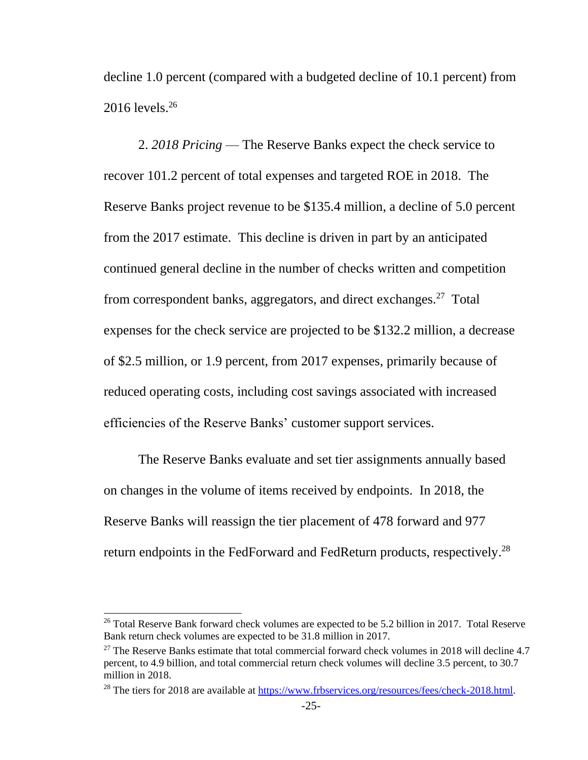decline 1.0 percent (compared with a budgeted decline of 10.1 percent) from 2016 levels.<sup>26</sup>

2. *2018 Pricing* — The Reserve Banks expect the check service to recover 101.2 percent of total expenses and targeted ROE in 2018. The Reserve Banks project revenue to be \$135.4 million, a decline of 5.0 percent from the 2017 estimate. This decline is driven in part by an anticipated continued general decline in the number of checks written and competition from correspondent banks, aggregators, and direct exchanges.<sup>27</sup> Total expenses for the check service are projected to be \$132.2 million, a decrease of \$2.5 million, or 1.9 percent, from 2017 expenses, primarily because of reduced operating costs, including cost savings associated with increased efficiencies of the Reserve Banks' customer support services.

The Reserve Banks evaluate and set tier assignments annually based on changes in the volume of items received by endpoints. In 2018, the Reserve Banks will reassign the tier placement of 478 forward and 977 return endpoints in the FedForward and FedReturn products, respectively.<sup>28</sup>

 $26$  Total Reserve Bank forward check volumes are expected to be 5.2 billion in 2017. Total Reserve Bank return check volumes are expected to be 31.8 million in 2017.

<sup>&</sup>lt;sup>27</sup> The Reserve Banks estimate that total commercial forward check volumes in 2018 will decline 4.7 percent, to 4.9 billion, and total commercial return check volumes will decline 3.5 percent, to 30.7 million in 2018.

<sup>&</sup>lt;sup>28</sup> The tiers for 2018 are available at [https://www.frbservices.org/resources/fees/check-2018.html.](https://www.frbservices.org/resources/fees/check-2018.html)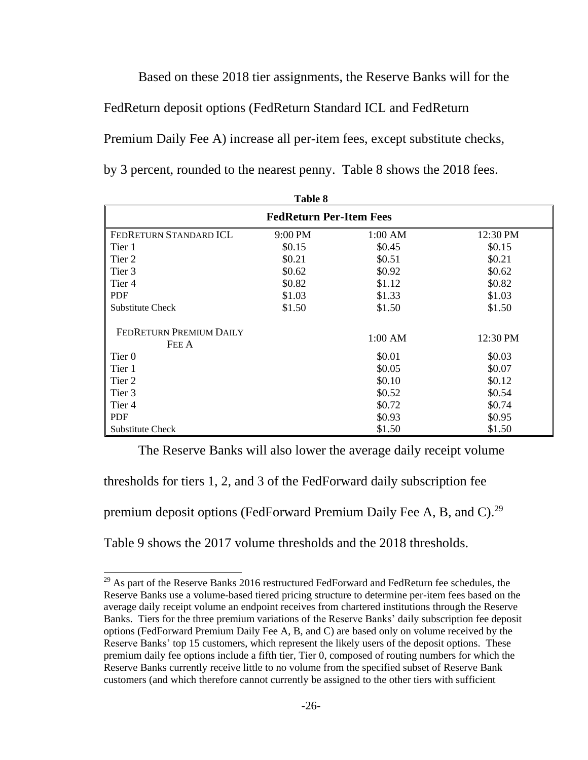Based on these 2018 tier assignments, the Reserve Banks will for the FedReturn deposit options (FedReturn Standard ICL and FedReturn Premium Daily Fee A) increase all per-item fees, except substitute checks, by 3 percent, rounded to the nearest penny. Table 8 shows the 2018 fees.

| <b>Table 8</b>                   |         |           |          |  |  |
|----------------------------------|---------|-----------|----------|--|--|
| <b>FedReturn Per-Item Fees</b>   |         |           |          |  |  |
| FEDRETURN STANDARD ICL           | 9:00 PM | $1:00$ AM | 12:30 PM |  |  |
| Tier 1                           | \$0.15  | \$0.45    | \$0.15   |  |  |
| Tier <sub>2</sub>                | \$0.21  | \$0.51    | \$0.21   |  |  |
| Tier 3                           | \$0.62  | \$0.92    | \$0.62   |  |  |
| Tier 4                           | \$0.82  | \$1.12    | \$0.82   |  |  |
| <b>PDF</b>                       | \$1.03  | \$1.33    | \$1.03   |  |  |
| <b>Substitute Check</b>          | \$1.50  | \$1.50    | \$1.50   |  |  |
| FEDRETURN PREMIUM DAILY<br>FEE A |         | 1:00 AM   | 12:30 PM |  |  |
| Tier <sub>0</sub>                |         | \$0.01    | \$0.03   |  |  |
| Tier 1                           |         | \$0.05    | \$0.07   |  |  |
| Tier 2                           |         | \$0.10    | \$0.12   |  |  |
| Tier 3                           |         | \$0.52    | \$0.54   |  |  |
| Tier 4                           |         | \$0.72    | \$0.74   |  |  |
| <b>PDF</b>                       |         | \$0.93    | \$0.95   |  |  |
| <b>Substitute Check</b>          |         | \$1.50    | \$1.50   |  |  |

The Reserve Banks will also lower the average daily receipt volume

thresholds for tiers 1, 2, and 3 of the FedForward daily subscription fee

premium deposit options (FedForward Premium Daily Fee A, B, and C).<sup>29</sup>

Table 9 shows the 2017 volume thresholds and the 2018 thresholds.

l

 $^{29}$  As part of the Reserve Banks 2016 restructured FedForward and FedReturn fee schedules, the Reserve Banks use a volume-based tiered pricing structure to determine per-item fees based on the average daily receipt volume an endpoint receives from chartered institutions through the Reserve Banks. Tiers for the three premium variations of the Reserve Banks' daily subscription fee deposit options (FedForward Premium Daily Fee A, B, and C) are based only on volume received by the Reserve Banks' top 15 customers, which represent the likely users of the deposit options. These premium daily fee options include a fifth tier, Tier 0, composed of routing numbers for which the Reserve Banks currently receive little to no volume from the specified subset of Reserve Bank customers (and which therefore cannot currently be assigned to the other tiers with sufficient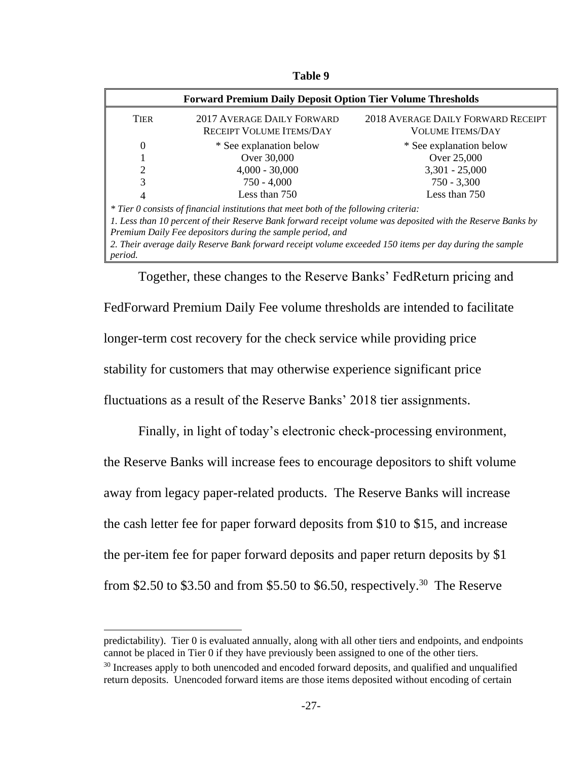| <b>Forward Premium Daily Deposit Option Tier Volume Thresholds</b> |                                                                                                         |                                                                                                              |  |  |  |  |
|--------------------------------------------------------------------|---------------------------------------------------------------------------------------------------------|--------------------------------------------------------------------------------------------------------------|--|--|--|--|
| <b>TIER</b>                                                        | 2017 AVERAGE DAILY FORWARD<br><b>RECEIPT VOLUME ITEMS/DAY</b>                                           | 2018 AVERAGE DAILY FORWARD RECEIPT<br><b>VOLUME ITEMS/DAY</b>                                                |  |  |  |  |
| $\Omega$                                                           | * See explanation below                                                                                 | * See explanation below                                                                                      |  |  |  |  |
|                                                                    | Over 30,000                                                                                             | Over 25,000                                                                                                  |  |  |  |  |
| $\overline{c}$                                                     | $4,000 - 30,000$                                                                                        | $3,301 - 25,000$                                                                                             |  |  |  |  |
| 3                                                                  | $750 - 4,000$                                                                                           | $750 - 3,300$                                                                                                |  |  |  |  |
| 4                                                                  | Less than $750$                                                                                         | Less than 750                                                                                                |  |  |  |  |
|                                                                    | * Tier 0 consists of financial institutions that meet both of the following criteria:                   |                                                                                                              |  |  |  |  |
|                                                                    |                                                                                                         | 1. Less than 10 percent of their Reserve Bank forward receipt volume was deposited with the Reserve Banks by |  |  |  |  |
|                                                                    | Premium Daily Fee depositors during the sample period, and                                              |                                                                                                              |  |  |  |  |
|                                                                    | 2. Their average daily Reserve Bank forward receipt volume exceeded 150 items per day during the sample |                                                                                                              |  |  |  |  |
| period.                                                            |                                                                                                         |                                                                                                              |  |  |  |  |

**Table 9** 

Together, these changes to the Reserve Banks' FedReturn pricing and FedForward Premium Daily Fee volume thresholds are intended to facilitate longer-term cost recovery for the check service while providing price stability for customers that may otherwise experience significant price fluctuations as a result of the Reserve Banks' 2018 tier assignments.

Finally, in light of today's electronic check-processing environment, the Reserve Banks will increase fees to encourage depositors to shift volume away from legacy paper-related products. The Reserve Banks will increase the cash letter fee for paper forward deposits from \$10 to \$15, and increase the per-item fee for paper forward deposits and paper return deposits by \$1 from \$2.50 to \$3.50 and from \$5.50 to \$6.50, respectively.<sup>30</sup> The Reserve

predictability). Tier 0 is evaluated annually, along with all other tiers and endpoints, and endpoints cannot be placed in Tier 0 if they have previously been assigned to one of the other tiers.

<sup>&</sup>lt;sup>30</sup> Increases apply to both unencoded and encoded forward deposits, and qualified and unqualified return deposits. Unencoded forward items are those items deposited without encoding of certain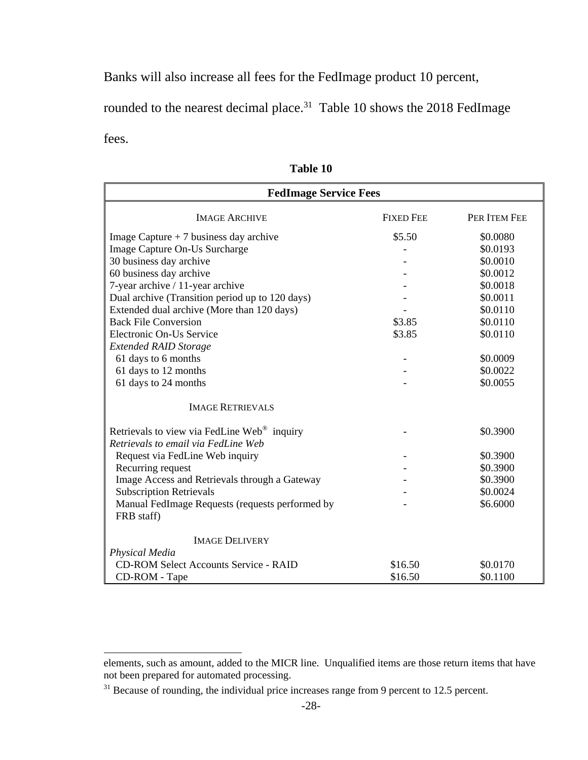Banks will also increase all fees for the FedImage product 10 percent,

rounded to the nearest decimal place.<sup>31</sup> Table 10 shows the 2018 FedImage

fees.

| <b>FedImage Service Fees</b>                                  |                  |              |
|---------------------------------------------------------------|------------------|--------------|
| <b>IMAGE ARCHIVE</b>                                          | <b>FIXED FEE</b> | PER ITEM FEE |
| Image Capture $+7$ business day archive                       | \$5.50           | \$0.0080     |
| Image Capture On-Us Surcharge                                 |                  | \$0.0193     |
| 30 business day archive                                       |                  | \$0.0010     |
| 60 business day archive                                       |                  | \$0.0012     |
| 7-year archive / 11-year archive                              |                  | \$0.0018     |
| Dual archive (Transition period up to 120 days)               |                  | \$0.0011     |
| Extended dual archive (More than 120 days)                    |                  | \$0.0110     |
| <b>Back File Conversion</b>                                   | \$3.85           | \$0.0110     |
| Electronic On-Us Service                                      | \$3.85           | \$0.0110     |
| <b>Extended RAID Storage</b>                                  |                  |              |
| 61 days to 6 months                                           |                  | \$0.0009     |
| 61 days to 12 months                                          |                  | \$0.0022     |
| 61 days to 24 months                                          |                  | \$0.0055     |
| <b>IMAGE RETRIEVALS</b>                                       |                  |              |
| Retrievals to view via FedLine Web <sup>®</sup> inquiry       |                  | \$0.3900     |
| Retrievals to email via FedLine Web                           |                  |              |
| Request via FedLine Web inquiry                               |                  | \$0.3900     |
| Recurring request                                             |                  | \$0.3900     |
| Image Access and Retrievals through a Gateway                 |                  | \$0.3900     |
| <b>Subscription Retrievals</b>                                |                  | \$0.0024     |
| Manual FedImage Requests (requests performed by<br>FRB staff) |                  | \$6.6000     |
| <b>IMAGE DELIVERY</b>                                         |                  |              |
| Physical Media                                                |                  |              |
| <b>CD-ROM Select Accounts Service - RAID</b>                  | \$16.50          | \$0.0170     |
| CD-ROM - Tape                                                 | \$16.50          | \$0.1100     |

**Table 10**

elements, such as amount, added to the MICR line. Unqualified items are those return items that have not been prepared for automated processing.

<sup>&</sup>lt;sup>31</sup> Because of rounding, the individual price increases range from 9 percent to 12.5 percent.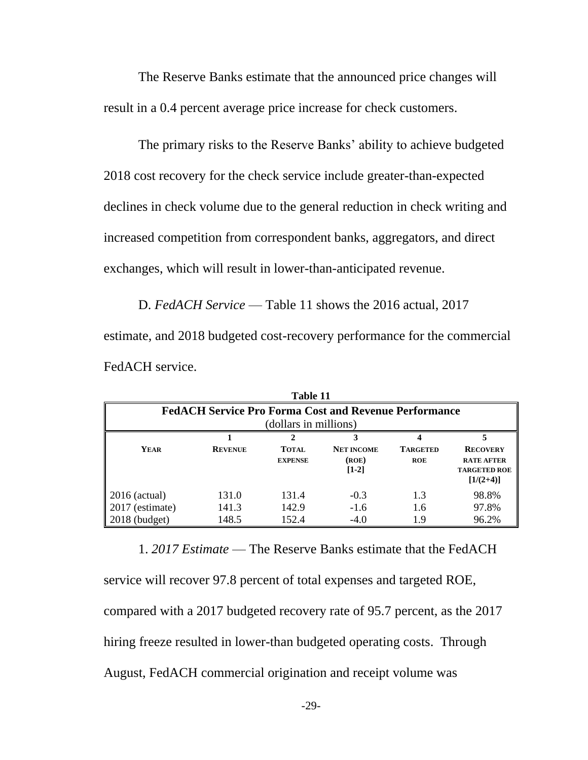The Reserve Banks estimate that the announced price changes will result in a 0.4 percent average price increase for check customers.

The primary risks to the Reserve Banks' ability to achieve budgeted 2018 cost recovery for the check service include greater-than-expected declines in check volume due to the general reduction in check writing and increased competition from correspondent banks, aggregators, and direct exchanges, which will result in lower-than-anticipated revenue.

D. *FedACH Service* — Table 11 shows the 2016 actual, 2017 estimate, and 2018 budgeted cost-recovery performance for the commercial FedACH service.

| Table 11                                                     |                |                                |                                       |                               |                                                                            |
|--------------------------------------------------------------|----------------|--------------------------------|---------------------------------------|-------------------------------|----------------------------------------------------------------------------|
| <b>FedACH Service Pro Forma Cost and Revenue Performance</b> |                |                                |                                       |                               |                                                                            |
| (dollars in millions)                                        |                |                                |                                       |                               |                                                                            |
|                                                              |                |                                |                                       |                               |                                                                            |
| <b>YEAR</b>                                                  | <b>REVENUE</b> | <b>TOTAL</b><br><b>EXPENSE</b> | <b>NET INCOME</b><br>(ROE)<br>$[1-2]$ | <b>TARGETED</b><br><b>ROE</b> | <b>RECOVERY</b><br><b>RATE AFTER</b><br><b>TARGETED ROE</b><br>$[1/(2+4)]$ |
| $2016$ (actual)                                              | 131.0          | 131.4                          | $-0.3$                                | 1.3                           | 98.8%                                                                      |
| 2017 (estimate)                                              | 141.3          | 142.9                          | $-1.6$                                | 1.6                           | 97.8%                                                                      |
| $2018$ (budget)                                              | 148.5          | 152.4                          | $-4.0$                                | 1.9                           | 96.2%                                                                      |

1. *2017 Estimate* — The Reserve Banks estimate that the FedACH service will recover 97.8 percent of total expenses and targeted ROE, compared with a 2017 budgeted recovery rate of 95.7 percent, as the 2017 hiring freeze resulted in lower-than budgeted operating costs. Through August, FedACH commercial origination and receipt volume was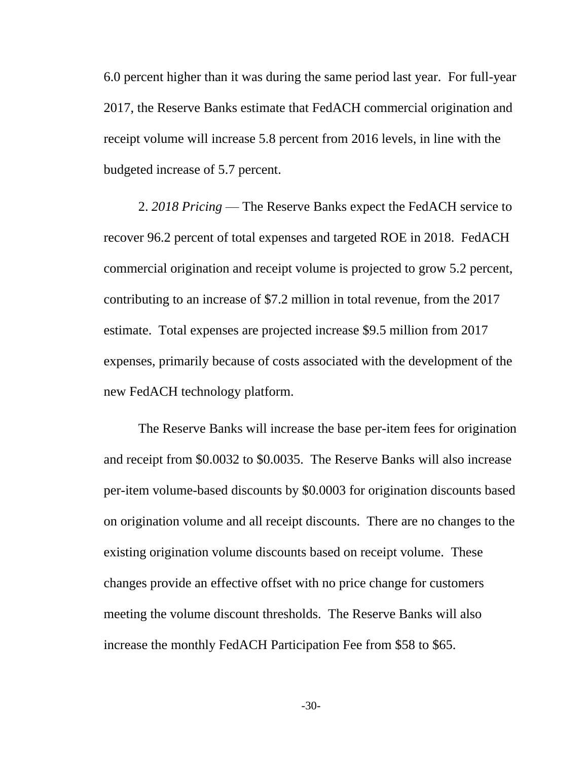6.0 percent higher than it was during the same period last year. For full-year 2017, the Reserve Banks estimate that FedACH commercial origination and receipt volume will increase 5.8 percent from 2016 levels, in line with the budgeted increase of 5.7 percent.

2. *2018 Pricing* — The Reserve Banks expect the FedACH service to recover 96.2 percent of total expenses and targeted ROE in 2018. FedACH commercial origination and receipt volume is projected to grow 5.2 percent, contributing to an increase of \$7.2 million in total revenue, from the 2017 estimate. Total expenses are projected increase \$9.5 million from 2017 expenses, primarily because of costs associated with the development of the new FedACH technology platform.

The Reserve Banks will increase the base per-item fees for origination and receipt from \$0.0032 to \$0.0035. The Reserve Banks will also increase per-item volume-based discounts by \$0.0003 for origination discounts based on origination volume and all receipt discounts. There are no changes to the existing origination volume discounts based on receipt volume. These changes provide an effective offset with no price change for customers meeting the volume discount thresholds. The Reserve Banks will also increase the monthly FedACH Participation Fee from \$58 to \$65.

-30-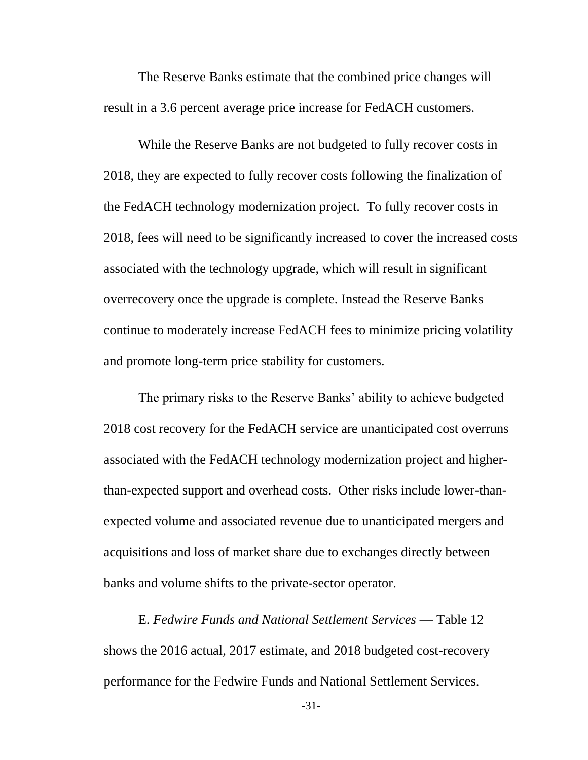The Reserve Banks estimate that the combined price changes will result in a 3.6 percent average price increase for FedACH customers.

While the Reserve Banks are not budgeted to fully recover costs in 2018, they are expected to fully recover costs following the finalization of the FedACH technology modernization project. To fully recover costs in 2018, fees will need to be significantly increased to cover the increased costs associated with the technology upgrade, which will result in significant overrecovery once the upgrade is complete. Instead the Reserve Banks continue to moderately increase FedACH fees to minimize pricing volatility and promote long-term price stability for customers.

The primary risks to the Reserve Banks' ability to achieve budgeted 2018 cost recovery for the FedACH service are unanticipated cost overruns associated with the FedACH technology modernization project and higherthan-expected support and overhead costs. Other risks include lower-thanexpected volume and associated revenue due to unanticipated mergers and acquisitions and loss of market share due to exchanges directly between banks and volume shifts to the private-sector operator.

E. *Fedwire Funds and National Settlement Services* — Table 12 shows the 2016 actual, 2017 estimate, and 2018 budgeted cost-recovery performance for the Fedwire Funds and National Settlement Services.

-31-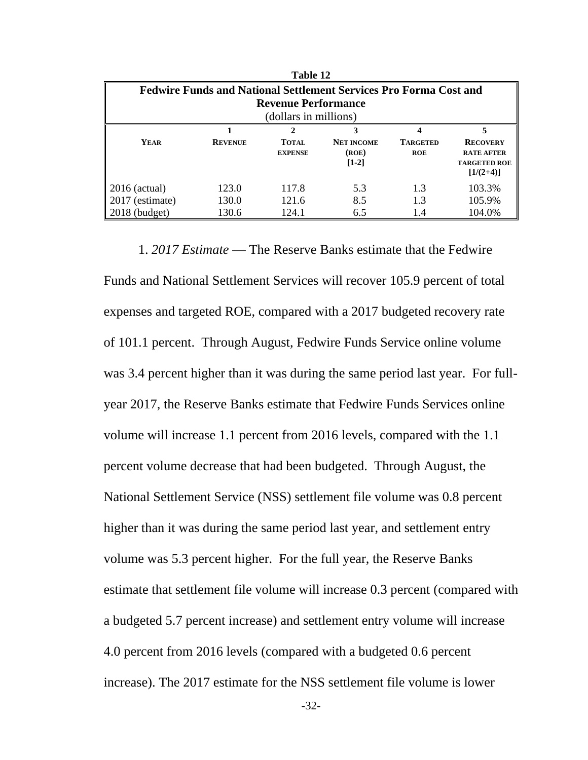| Table 12                                                                 |                |                                |                                       |                               |                                                                            |
|--------------------------------------------------------------------------|----------------|--------------------------------|---------------------------------------|-------------------------------|----------------------------------------------------------------------------|
| <b>Fedwire Funds and National Settlement Services Pro Forma Cost and</b> |                |                                |                                       |                               |                                                                            |
| <b>Revenue Performance</b>                                               |                |                                |                                       |                               |                                                                            |
|                                                                          |                | (dollars in millions)          |                                       |                               |                                                                            |
|                                                                          |                |                                |                                       |                               | 5                                                                          |
| <b>YEAR</b>                                                              | <b>REVENUE</b> | <b>TOTAL</b><br><b>EXPENSE</b> | <b>NET INCOME</b><br>(ROE)<br>$[1-2]$ | <b>TARGETED</b><br><b>ROE</b> | <b>RECOVERY</b><br><b>RATE AFTER</b><br><b>TARGETED ROE</b><br>$[1/(2+4)]$ |
| $2016$ (actual)                                                          | 123.0          | 117.8                          | 5.3                                   | 1.3                           | 103.3%                                                                     |
| 2017 (estimate)                                                          | 130.0          | 121.6                          | 8.5                                   | 1.3                           | 105.9%                                                                     |
| $2018$ (budget)                                                          | 130.6          | 124.1                          | 6.5                                   | 1.4                           | 104.0%                                                                     |

1. *2017 Estimate* — The Reserve Banks estimate that the Fedwire Funds and National Settlement Services will recover 105.9 percent of total expenses and targeted ROE, compared with a 2017 budgeted recovery rate of 101.1 percent. Through August, Fedwire Funds Service online volume was 3.4 percent higher than it was during the same period last year. For fullyear 2017, the Reserve Banks estimate that Fedwire Funds Services online volume will increase 1.1 percent from 2016 levels, compared with the 1.1 percent volume decrease that had been budgeted. Through August, the National Settlement Service (NSS) settlement file volume was 0.8 percent higher than it was during the same period last year, and settlement entry volume was 5.3 percent higher. For the full year, the Reserve Banks estimate that settlement file volume will increase 0.3 percent (compared with a budgeted 5.7 percent increase) and settlement entry volume will increase 4.0 percent from 2016 levels (compared with a budgeted 0.6 percent increase). The 2017 estimate for the NSS settlement file volume is lower

-32-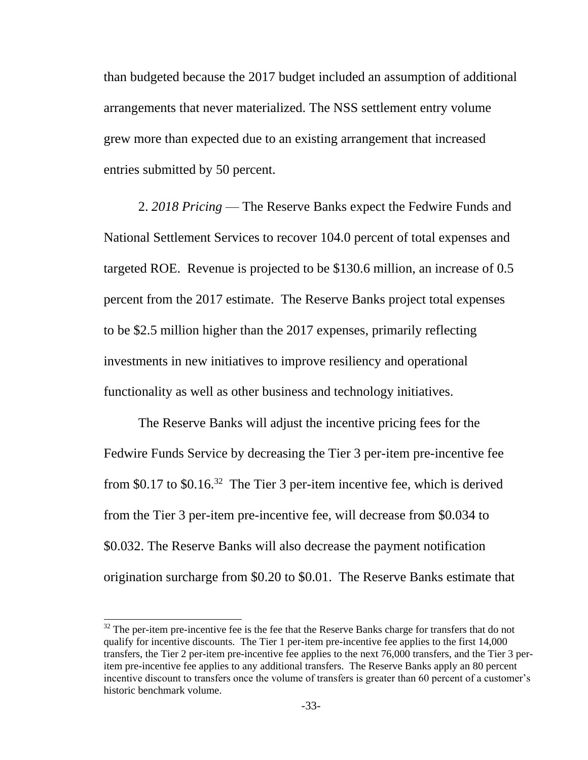than budgeted because the 2017 budget included an assumption of additional arrangements that never materialized. The NSS settlement entry volume grew more than expected due to an existing arrangement that increased entries submitted by 50 percent.

2. *2018 Pricing* — The Reserve Banks expect the Fedwire Funds and National Settlement Services to recover 104.0 percent of total expenses and targeted ROE. Revenue is projected to be \$130.6 million, an increase of 0.5 percent from the 2017 estimate. The Reserve Banks project total expenses to be \$2.5 million higher than the 2017 expenses, primarily reflecting investments in new initiatives to improve resiliency and operational functionality as well as other business and technology initiatives.

The Reserve Banks will adjust the incentive pricing fees for the Fedwire Funds Service by decreasing the Tier 3 per-item pre-incentive fee from \$0.17 to \$0.16.<sup>32</sup> The Tier 3 per-item incentive fee, which is derived from the Tier 3 per-item pre-incentive fee, will decrease from \$0.034 to \$0.032. The Reserve Banks will also decrease the payment notification origination surcharge from \$0.20 to \$0.01. The Reserve Banks estimate that

 $32$  The per-item pre-incentive fee is the fee that the Reserve Banks charge for transfers that do not qualify for incentive discounts. The Tier 1 per-item pre-incentive fee applies to the first 14,000 transfers, the Tier 2 per-item pre-incentive fee applies to the next 76,000 transfers, and the Tier 3 peritem pre-incentive fee applies to any additional transfers. The Reserve Banks apply an 80 percent incentive discount to transfers once the volume of transfers is greater than 60 percent of a customer's historic benchmark volume.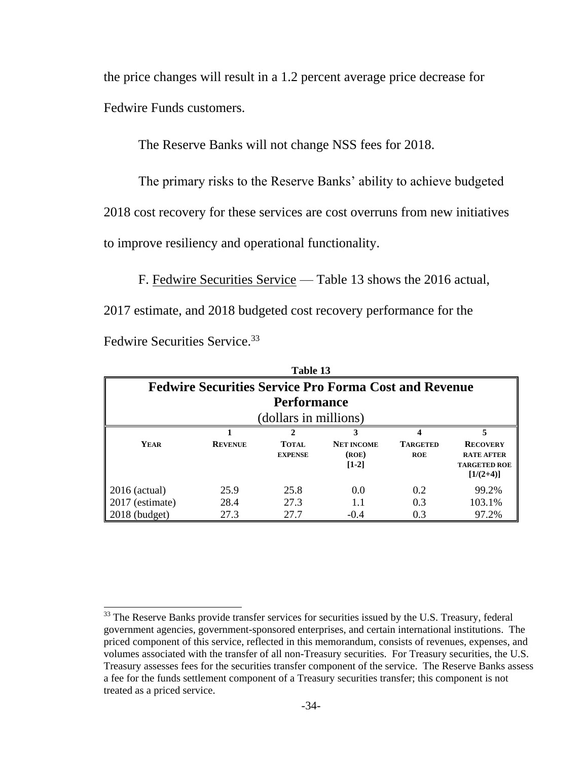the price changes will result in a 1.2 percent average price decrease for Fedwire Funds customers.

The Reserve Banks will not change NSS fees for 2018.

The primary risks to the Reserve Banks' ability to achieve budgeted

2018 cost recovery for these services are cost overruns from new initiatives

to improve resiliency and operational functionality.

F. Fedwire Securities Service — Table 13 shows the 2016 actual,

2017 estimate, and 2018 budgeted cost recovery performance for the

Fedwire Securities Service.<sup>33</sup>

| Table 13                                                     |                |                       |                   |                 |                                          |
|--------------------------------------------------------------|----------------|-----------------------|-------------------|-----------------|------------------------------------------|
| <b>Fedwire Securities Service Pro Forma Cost and Revenue</b> |                |                       |                   |                 |                                          |
| <b>Performance</b>                                           |                |                       |                   |                 |                                          |
|                                                              |                | (dollars in millions) |                   |                 |                                          |
|                                                              |                | 2                     | 3                 | 4               | 5                                        |
| <b>YEAR</b>                                                  | <b>REVENUE</b> | <b>TOTAL</b>          | <b>NET INCOME</b> | <b>TARGETED</b> | <b>RECOVERY</b>                          |
|                                                              |                | <b>EXPENSE</b>        | (ROE)<br>$[1-2]$  | <b>ROE</b>      | <b>RATE AFTER</b><br><b>TARGETED ROE</b> |
|                                                              |                |                       |                   |                 | $[1/(2+4)]$                              |
| $2016$ (actual)                                              | 25.9           | 25.8                  | 0.0               | 0.2             | 99.2%                                    |
| 2017 (estimate)                                              | 28.4           | 27.3                  | 1.1               | 0.3             | 103.1%                                   |
| $2018$ (budget)                                              | 27.3           | 27.7                  | $-0.4$            | 0.3             | 97.2%                                    |

<sup>&</sup>lt;sup>33</sup> The Reserve Banks provide transfer services for securities issued by the U.S. Treasury, federal government agencies, government-sponsored enterprises, and certain international institutions. The priced component of this service, reflected in this memorandum, consists of revenues, expenses, and volumes associated with the transfer of all non-Treasury securities. For Treasury securities, the U.S. Treasury assesses fees for the securities transfer component of the service. The Reserve Banks assess a fee for the funds settlement component of a Treasury securities transfer; this component is not treated as a priced service.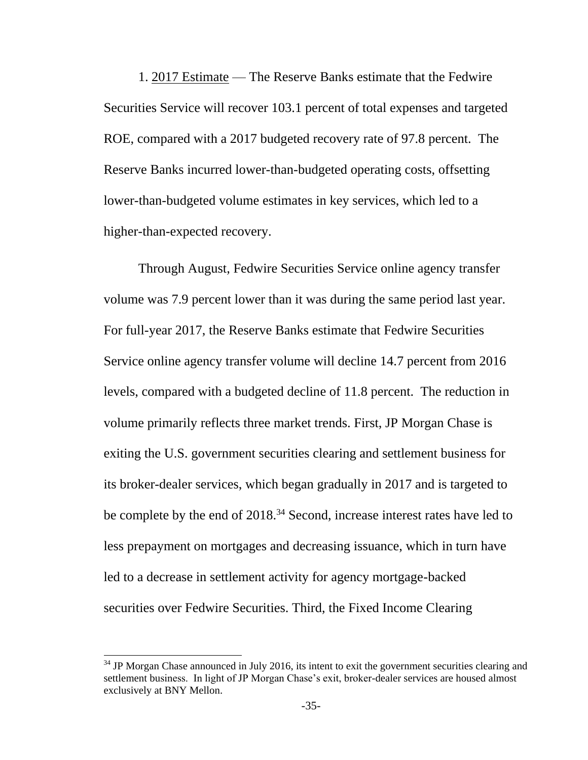1. 2017 Estimate — The Reserve Banks estimate that the Fedwire Securities Service will recover 103.1 percent of total expenses and targeted ROE, compared with a 2017 budgeted recovery rate of 97.8 percent. The Reserve Banks incurred lower-than-budgeted operating costs, offsetting lower-than-budgeted volume estimates in key services, which led to a higher-than-expected recovery.

Through August, Fedwire Securities Service online agency transfer volume was 7.9 percent lower than it was during the same period last year. For full-year 2017, the Reserve Banks estimate that Fedwire Securities Service online agency transfer volume will decline 14.7 percent from 2016 levels, compared with a budgeted decline of 11.8 percent. The reduction in volume primarily reflects three market trends. First, JP Morgan Chase is exiting the U.S. government securities clearing and settlement business for its broker-dealer services, which began gradually in 2017 and is targeted to be complete by the end of 2018.<sup>34</sup> Second, increase interest rates have led to less prepayment on mortgages and decreasing issuance, which in turn have led to a decrease in settlement activity for agency mortgage-backed securities over Fedwire Securities. Third, the Fixed Income Clearing

<sup>&</sup>lt;sup>34</sup> JP Morgan Chase announced in July 2016, its intent to exit the government securities clearing and settlement business. In light of JP Morgan Chase's exit, broker-dealer services are housed almost exclusively at BNY Mellon.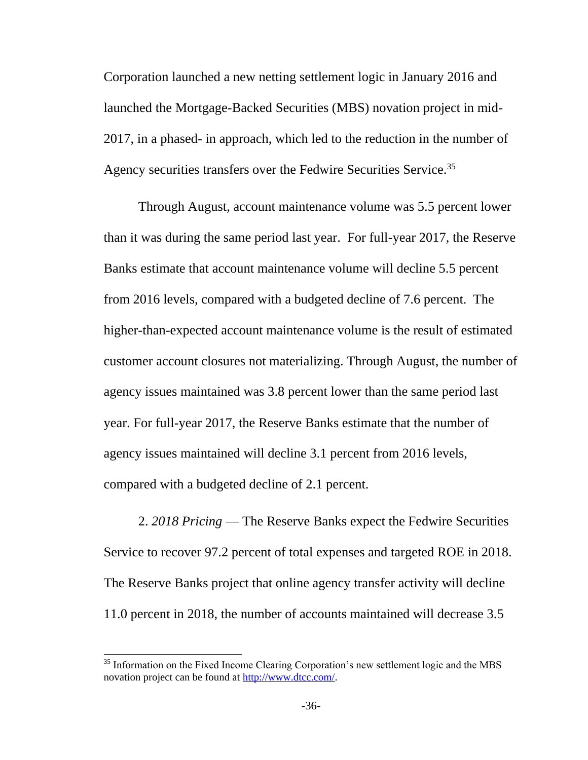Corporation launched a new netting settlement logic in January 2016 and launched the Mortgage-Backed Securities (MBS) novation project in mid-2017, in a phased- in approach, which led to the reduction in the number of Agency securities transfers over the Fedwire Securities Service.<sup>35</sup>

Through August, account maintenance volume was 5.5 percent lower than it was during the same period last year. For full-year 2017, the Reserve Banks estimate that account maintenance volume will decline 5.5 percent from 2016 levels, compared with a budgeted decline of 7.6 percent. The higher-than-expected account maintenance volume is the result of estimated customer account closures not materializing. Through August, the number of agency issues maintained was 3.8 percent lower than the same period last year. For full-year 2017, the Reserve Banks estimate that the number of agency issues maintained will decline 3.1 percent from 2016 levels, compared with a budgeted decline of 2.1 percent.

2. *2018 Pricing* — The Reserve Banks expect the Fedwire Securities Service to recover 97.2 percent of total expenses and targeted ROE in 2018. The Reserve Banks project that online agency transfer activity will decline 11.0 percent in 2018, the number of accounts maintained will decrease 3.5

<sup>&</sup>lt;sup>35</sup> Information on the Fixed Income Clearing Corporation's new settlement logic and the MBS novation project can be found at [http://www.dtcc.com/.](http://www.dtcc.com/)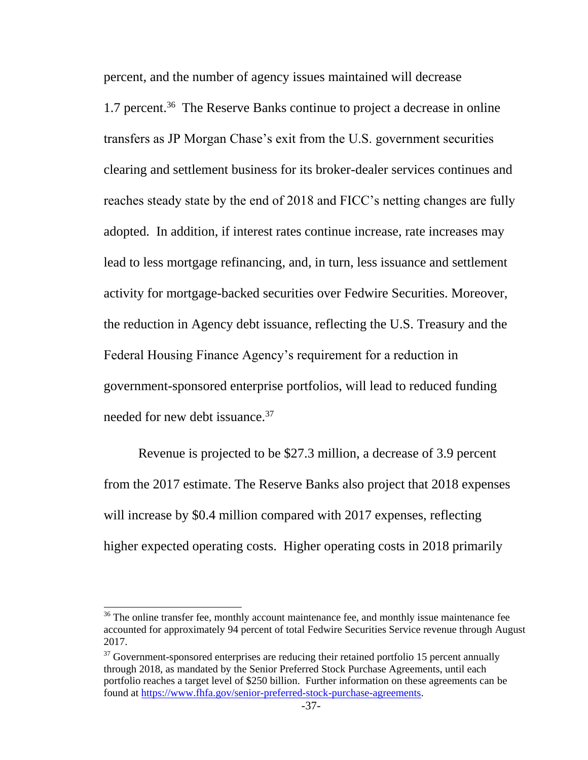percent, and the number of agency issues maintained will decrease 1.7 percent.<sup>36</sup> The Reserve Banks continue to project a decrease in online transfers as JP Morgan Chase's exit from the U.S. government securities clearing and settlement business for its broker-dealer services continues and reaches steady state by the end of 2018 and FICC's netting changes are fully adopted. In addition, if interest rates continue increase, rate increases may lead to less mortgage refinancing, and, in turn, less issuance and settlement activity for mortgage-backed securities over Fedwire Securities. Moreover, the reduction in Agency debt issuance, reflecting the U.S. Treasury and the Federal Housing Finance Agency's requirement for a reduction in government-sponsored enterprise portfolios, will lead to reduced funding needed for new debt issuance.<sup>37</sup>

Revenue is projected to be \$27.3 million, a decrease of 3.9 percent from the 2017 estimate. The Reserve Banks also project that 2018 expenses will increase by \$0.4 million compared with 2017 expenses, reflecting higher expected operating costs. Higher operating costs in 2018 primarily

 $36$  The online transfer fee, monthly account maintenance fee, and monthly issue maintenance fee accounted for approximately 94 percent of total Fedwire Securities Service revenue through August 2017.

 $37$  Government-sponsored enterprises are reducing their retained portfolio 15 percent annually through 2018, as mandated by the Senior Preferred Stock Purchase Agreements, until each portfolio reaches a target level of \$250 billion. Further information on these agreements can be found at [https://www.fhfa.gov/senior-preferred-stock-purchase-agreements.](https://www.fhfa.gov/senior-preferred-stock-purchase-agreements)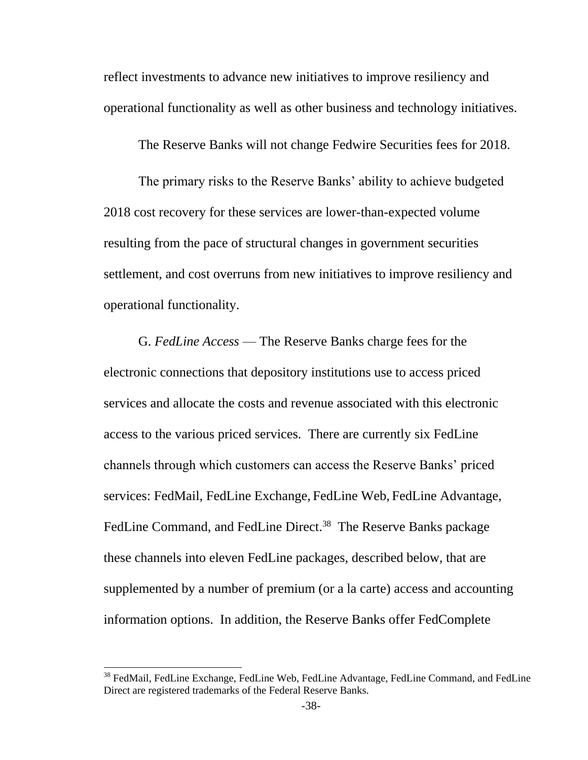reflect investments to advance new initiatives to improve resiliency and operational functionality as well as other business and technology initiatives.

The Reserve Banks will not change Fedwire Securities fees for 2018.

The primary risks to the Reserve Banks' ability to achieve budgeted 2018 cost recovery for these services are lower-than-expected volume resulting from the pace of structural changes in government securities settlement, and cost overruns from new initiatives to improve resiliency and operational functionality.

G. *FedLine Access* — The Reserve Banks charge fees for the electronic connections that depository institutions use to access priced services and allocate the costs and revenue associated with this electronic access to the various priced services. There are currently six FedLine channels through which customers can access the Reserve Banks' priced services: FedMail, FedLine Exchange, FedLine Web, FedLine Advantage, FedLine Command, and FedLine Direct.<sup>38</sup> The Reserve Banks package these channels into eleven FedLine packages, described below, that are supplemented by a number of premium (or a la carte) access and accounting information options. In addition, the Reserve Banks offer FedComplete

l

<sup>38</sup> FedMail, FedLine Exchange, FedLine Web, FedLine Advantage, FedLine Command, and FedLine Direct are registered trademarks of the Federal Reserve Banks.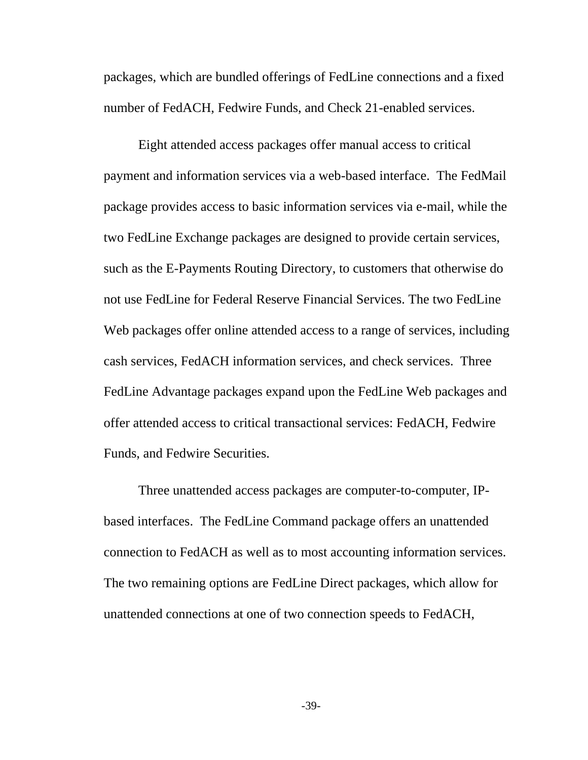packages, which are bundled offerings of FedLine connections and a fixed number of FedACH, Fedwire Funds, and Check 21-enabled services.

Eight attended access packages offer manual access to critical payment and information services via a web-based interface. The FedMail package provides access to basic information services via e-mail, while the two FedLine Exchange packages are designed to provide certain services, such as the E-Payments Routing Directory, to customers that otherwise do not use FedLine for Federal Reserve Financial Services. The two FedLine Web packages offer online attended access to a range of services, including cash services, FedACH information services, and check services. Three FedLine Advantage packages expand upon the FedLine Web packages and offer attended access to critical transactional services: FedACH, Fedwire Funds, and Fedwire Securities.

Three unattended access packages are computer-to-computer, IPbased interfaces. The FedLine Command package offers an unattended connection to FedACH as well as to most accounting information services. The two remaining options are FedLine Direct packages, which allow for unattended connections at one of two connection speeds to FedACH,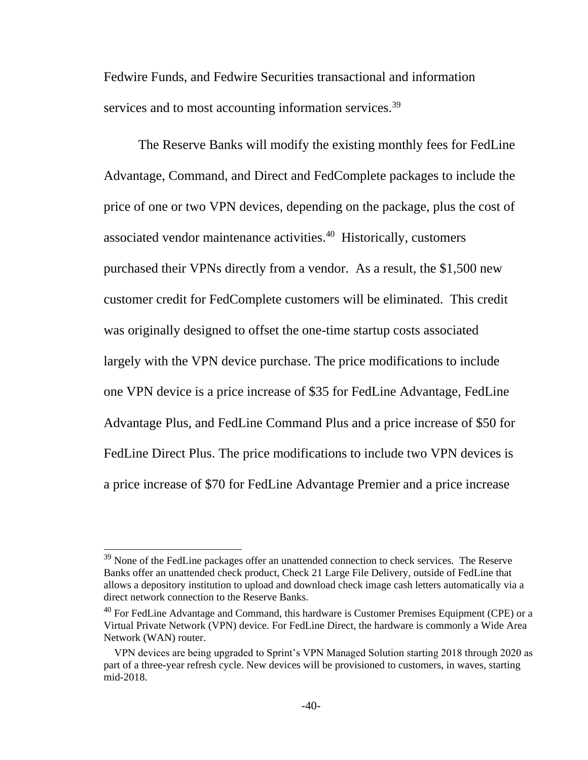Fedwire Funds, and Fedwire Securities transactional and information services and to most accounting information services.<sup>39</sup>

The Reserve Banks will modify the existing monthly fees for FedLine Advantage, Command, and Direct and FedComplete packages to include the price of one or two VPN devices, depending on the package, plus the cost of associated vendor maintenance activities.<sup>40</sup> Historically, customers purchased their VPNs directly from a vendor. As a result, the \$1,500 new customer credit for FedComplete customers will be eliminated. This credit was originally designed to offset the one-time startup costs associated largely with the VPN device purchase. The price modifications to include one VPN device is a price increase of \$35 for FedLine Advantage, FedLine Advantage Plus, and FedLine Command Plus and a price increase of \$50 for FedLine Direct Plus. The price modifications to include two VPN devices is a price increase of \$70 for FedLine Advantage Premier and a price increase

 $39$  None of the FedLine packages offer an unattended connection to check services. The Reserve Banks offer an unattended check product, Check 21 Large File Delivery, outside of FedLine that allows a depository institution to upload and download check image cash letters automatically via a direct network connection to the Reserve Banks.

 $40$  For FedLine Advantage and Command, this hardware is Customer Premises Equipment (CPE) or a Virtual Private Network (VPN) device. For FedLine Direct, the hardware is commonly a Wide Area Network (WAN) router.

VPN devices are being upgraded to Sprint's VPN Managed Solution starting 2018 through 2020 as part of a three-year refresh cycle. New devices will be provisioned to customers, in waves, starting mid-2018.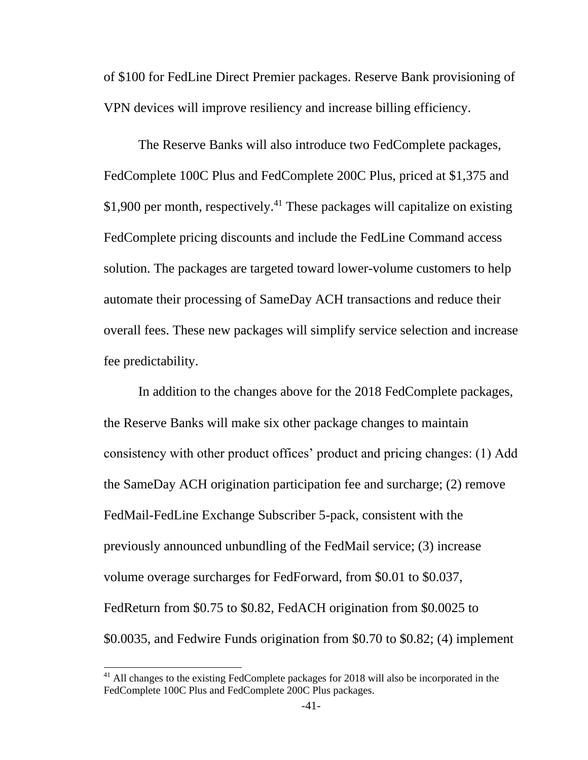of \$100 for FedLine Direct Premier packages. Reserve Bank provisioning of VPN devices will improve resiliency and increase billing efficiency.

The Reserve Banks will also introduce two FedComplete packages, FedComplete 100C Plus and FedComplete 200C Plus, priced at \$1,375 and \$1,900 per month, respectively.<sup>41</sup> These packages will capitalize on existing FedComplete pricing discounts and include the FedLine Command access solution. The packages are targeted toward lower-volume customers to help automate their processing of SameDay ACH transactions and reduce their overall fees. These new packages will simplify service selection and increase fee predictability.

In addition to the changes above for the 2018 FedComplete packages, the Reserve Banks will make six other package changes to maintain consistency with other product offices' product and pricing changes: (1) Add the SameDay ACH origination participation fee and surcharge; (2) remove FedMail-FedLine Exchange Subscriber 5-pack, consistent with the previously announced unbundling of the FedMail service; (3) increase volume overage surcharges for FedForward, from \$0.01 to \$0.037, FedReturn from \$0.75 to \$0.82, FedACH origination from \$0.0025 to \$0.0035, and Fedwire Funds origination from \$0.70 to \$0.82; (4) implement

l

 $41$  All changes to the existing FedComplete packages for 2018 will also be incorporated in the FedComplete 100C Plus and FedComplete 200C Plus packages.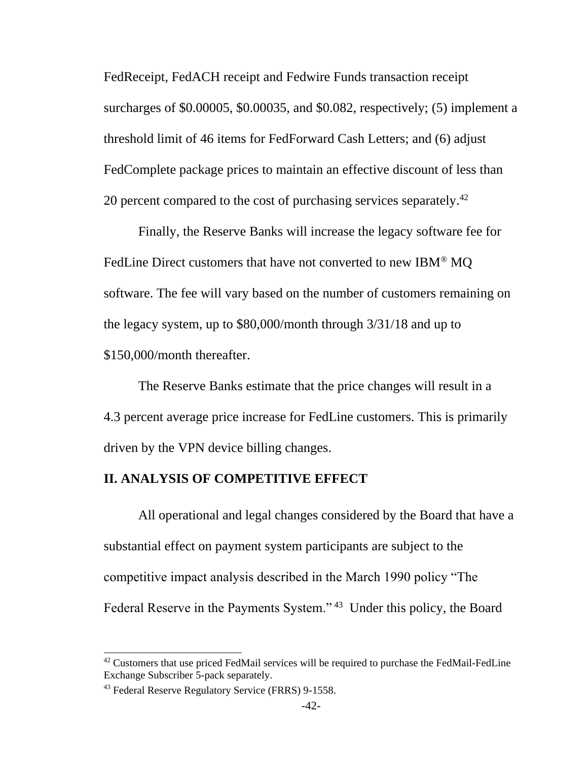FedReceipt, FedACH receipt and Fedwire Funds transaction receipt surcharges of \$0.00005, \$0.00035, and \$0.082, respectively; (5) implement a threshold limit of 46 items for FedForward Cash Letters; and (6) adjust FedComplete package prices to maintain an effective discount of less than 20 percent compared to the cost of purchasing services separately.<sup>42</sup>

Finally, the Reserve Banks will increase the legacy software fee for FedLine Direct customers that have not converted to new IBM® MQ software. The fee will vary based on the number of customers remaining on the legacy system, up to \$80,000/month through 3/31/18 and up to \$150,000/month thereafter.

The Reserve Banks estimate that the price changes will result in a 4.3 percent average price increase for FedLine customers. This is primarily driven by the VPN device billing changes.

## **II. ANALYSIS OF COMPETITIVE EFFECT**

All operational and legal changes considered by the Board that have a substantial effect on payment system participants are subject to the competitive impact analysis described in the March 1990 policy "The Federal Reserve in the Payments System."<sup>43</sup> Under this policy, the Board

 $42$  Customers that use priced FedMail services will be required to purchase the FedMail-FedLine Exchange Subscriber 5-pack separately.

<sup>&</sup>lt;sup>43</sup> Federal Reserve Regulatory Service (FRRS) 9-1558.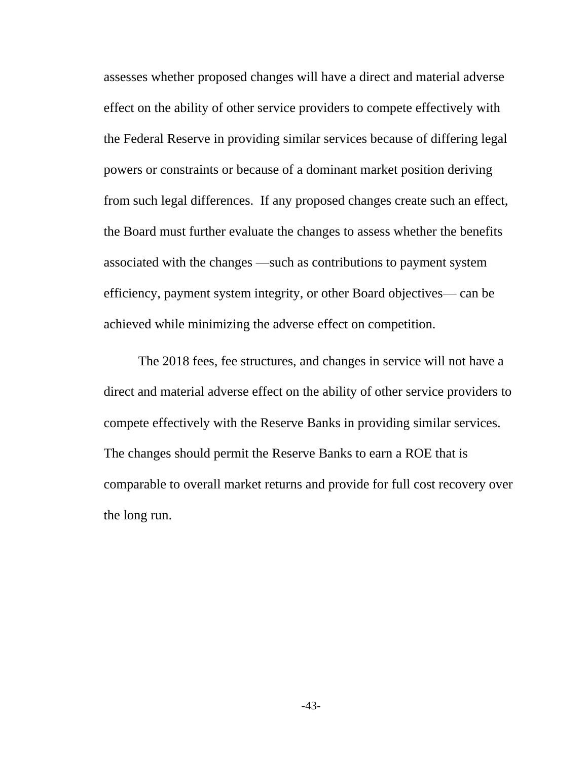assesses whether proposed changes will have a direct and material adverse effect on the ability of other service providers to compete effectively with the Federal Reserve in providing similar services because of differing legal powers or constraints or because of a dominant market position deriving from such legal differences. If any proposed changes create such an effect, the Board must further evaluate the changes to assess whether the benefits associated with the changes —such as contributions to payment system efficiency, payment system integrity, or other Board objectives— can be achieved while minimizing the adverse effect on competition.

The 2018 fees, fee structures, and changes in service will not have a direct and material adverse effect on the ability of other service providers to compete effectively with the Reserve Banks in providing similar services. The changes should permit the Reserve Banks to earn a ROE that is comparable to overall market returns and provide for full cost recovery over the long run.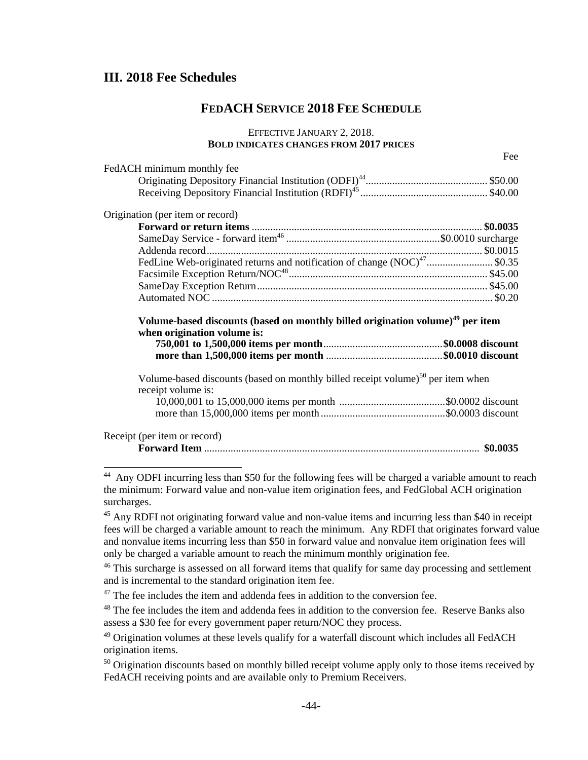## **III. 2018 Fee Schedules**

## **FEDACH SERVICE 2018 FEE SCHEDULE**

#### EFFECTIVE JANUARY 2, 2018. **BOLD INDICATES CHANGES FROM 2017 PRICES**

Fee

| FedACH minimum monthly fee                                                                                                |  |
|---------------------------------------------------------------------------------------------------------------------------|--|
|                                                                                                                           |  |
|                                                                                                                           |  |
| Origination (per item or record)                                                                                          |  |
|                                                                                                                           |  |
|                                                                                                                           |  |
|                                                                                                                           |  |
| FedLine Web-originated returns and notification of change (NOC) <sup>47</sup> \$0.35                                      |  |
|                                                                                                                           |  |
|                                                                                                                           |  |
|                                                                                                                           |  |
|                                                                                                                           |  |
| Volume-based discounts (based on monthly billed origination volume) <sup>49</sup> per item<br>when origination volume is: |  |
| Volume-based discounts (based on monthly billed receipt volume) <sup>50</sup> per item when                               |  |
| receipt volume is:                                                                                                        |  |
| Receipt (per item or record)                                                                                              |  |

<sup>&</sup>lt;sup>44</sup> Any ODFI incurring less than \$50 for the following fees will be charged a variable amount to reach the minimum: Forward value and non-value item origination fees, and FedGlobal ACH origination surcharges.

<sup>&</sup>lt;sup>45</sup> Any RDFI not originating forward value and non-value items and incurring less than \$40 in receipt fees will be charged a variable amount to reach the minimum. Any RDFI that originates forward value and nonvalue items incurring less than \$50 in forward value and nonvalue item origination fees will only be charged a variable amount to reach the minimum monthly origination fee.

<sup>&</sup>lt;sup>46</sup> This surcharge is assessed on all forward items that qualify for same day processing and settlement and is incremental to the standard origination item fee.

 $47$  The fee includes the item and addenda fees in addition to the conversion fee.

<sup>&</sup>lt;sup>48</sup> The fee includes the item and addenda fees in addition to the conversion fee. Reserve Banks also assess a \$30 fee for every government paper return/NOC they process.

<sup>&</sup>lt;sup>49</sup> Origination volumes at these levels qualify for a waterfall discount which includes all FedACH origination items.

<sup>&</sup>lt;sup>50</sup> Origination discounts based on monthly billed receipt volume apply only to those items received by FedACH receiving points and are available only to Premium Receivers.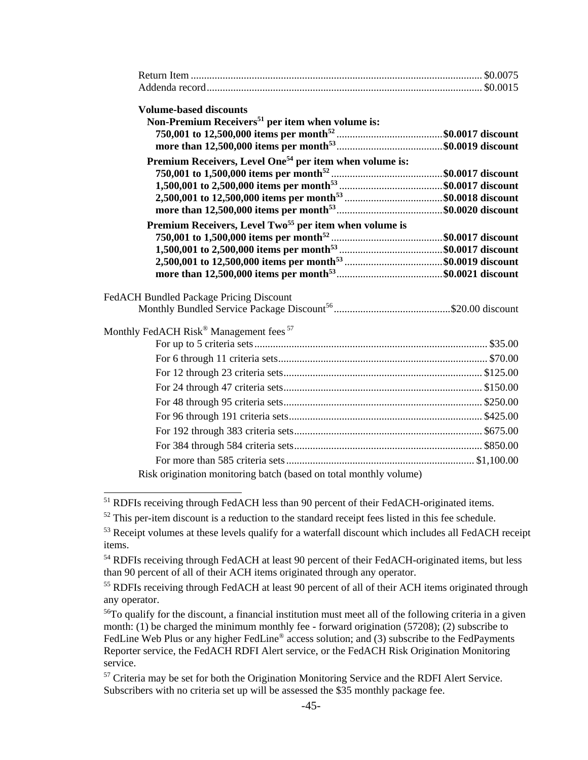<span id="page-44-1"></span><span id="page-44-0"></span>

| <b>Volume-based discounts</b><br>Non-Premium Receivers <sup>51</sup> per item when volume is: |  |
|-----------------------------------------------------------------------------------------------|--|
|                                                                                               |  |
|                                                                                               |  |
| Premium Receivers, Level One <sup>54</sup> per item when volume is:                           |  |
|                                                                                               |  |
|                                                                                               |  |
| 2,500,001 to 12,500,000 items per month <sup>53</sup> \$0.0018 discount                       |  |
|                                                                                               |  |
| Premium Receivers, Level Two <sup>55</sup> per item when volume is                            |  |
|                                                                                               |  |
|                                                                                               |  |
| 2,500,001 to 12,500,000 items per month <sup>53</sup> \$0.0019 discount                       |  |
|                                                                                               |  |
| <b>FedACH Bundled Package Pricing Discount</b>                                                |  |
|                                                                                               |  |
| Monthly FedACH Risk® Management fees <sup>57</sup>                                            |  |
|                                                                                               |  |
|                                                                                               |  |
|                                                                                               |  |
|                                                                                               |  |
|                                                                                               |  |
|                                                                                               |  |
|                                                                                               |  |
|                                                                                               |  |
|                                                                                               |  |
| Risk origination monitoring batch (based on total monthly volume)                             |  |

 $\overline{a}$ <sup>51</sup> RDFIs receiving through FedACH less than 90 percent of their FedACH-originated items.

 $52$  This per-item discount is a reduction to the standard receipt fees listed in this fee schedule.

<sup>&</sup>lt;sup>53</sup> Receipt volumes at these levels qualify for a waterfall discount which includes all FedACH receipt items.

<sup>&</sup>lt;sup>54</sup> RDFIs receiving through FedACH at least 90 percent of their FedACH-originated items, but less than 90 percent of all of their ACH items originated through any operator.

<sup>&</sup>lt;sup>55</sup> RDFIs receiving through FedACH at least 90 percent of all of their ACH items originated through any operator.

<sup>&</sup>lt;sup>56</sup>To qualify for the discount, a financial institution must meet all of the following criteria in a given month: (1) be charged the minimum monthly fee - forward origination (57208); (2) subscribe to FedLine Web Plus or any higher FedLine<sup>®</sup> access solution; and (3) subscribe to the FedPayments Reporter service, the FedACH RDFI Alert service, or the FedACH Risk Origination Monitoring service.

 $57$  Criteria may be set for both the Origination Monitoring Service and the RDFI Alert Service. Subscribers with no criteria set up will be assessed the \$35 monthly package fee.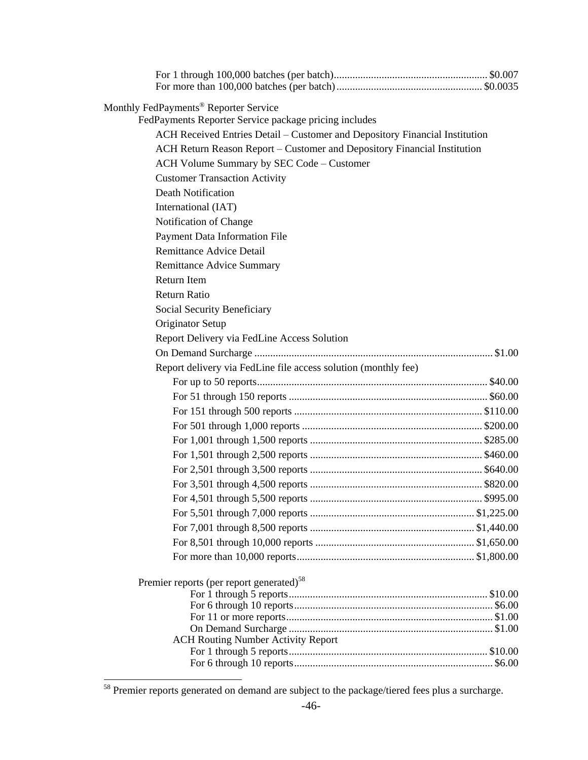| Monthly FedPayments <sup>®</sup> Reporter Service                           |  |
|-----------------------------------------------------------------------------|--|
| FedPayments Reporter Service package pricing includes                       |  |
| ACH Received Entries Detail – Customer and Depository Financial Institution |  |
| ACH Return Reason Report - Customer and Depository Financial Institution    |  |
| ACH Volume Summary by SEC Code - Customer                                   |  |
| <b>Customer Transaction Activity</b>                                        |  |
| <b>Death Notification</b>                                                   |  |
| International (IAT)                                                         |  |
| Notification of Change                                                      |  |
| Payment Data Information File                                               |  |
| <b>Remittance Advice Detail</b>                                             |  |
| <b>Remittance Advice Summary</b>                                            |  |
| <b>Return Item</b>                                                          |  |
| Return Ratio                                                                |  |
| Social Security Beneficiary                                                 |  |
| Originator Setup                                                            |  |
| Report Delivery via FedLine Access Solution                                 |  |
|                                                                             |  |
| Report delivery via FedLine file access solution (monthly fee)              |  |
|                                                                             |  |
|                                                                             |  |
|                                                                             |  |
|                                                                             |  |
|                                                                             |  |
|                                                                             |  |
|                                                                             |  |
|                                                                             |  |
|                                                                             |  |
|                                                                             |  |
|                                                                             |  |
|                                                                             |  |
|                                                                             |  |
| Premier reports (per report generated) <sup>58</sup>                        |  |
|                                                                             |  |
|                                                                             |  |
|                                                                             |  |
| <b>ACH Routing Number Activity Report</b>                                   |  |
|                                                                             |  |
|                                                                             |  |

 $58$  Premier reports generated on demand are subject to the package/tiered fees plus a surcharge.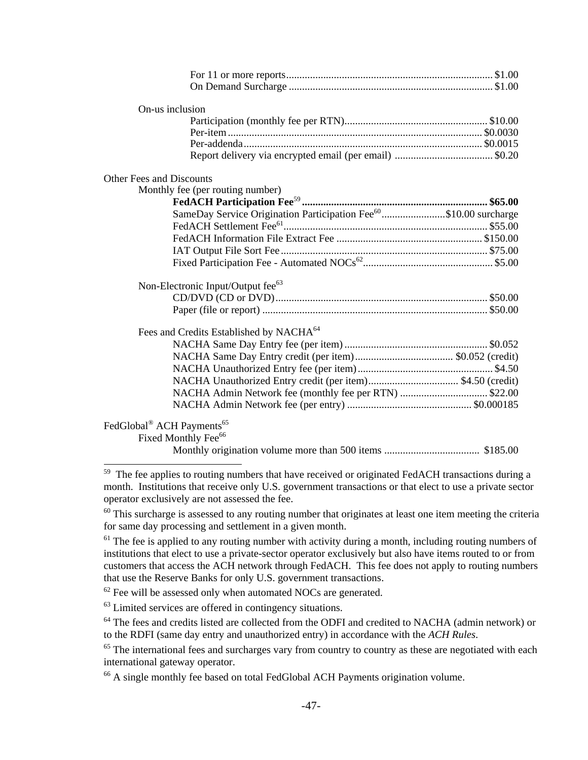| On-us inclusion                                                               |  |
|-------------------------------------------------------------------------------|--|
|                                                                               |  |
|                                                                               |  |
|                                                                               |  |
|                                                                               |  |
| Other Fees and Discounts                                                      |  |
| Monthly fee (per routing number)                                              |  |
|                                                                               |  |
| SameDay Service Origination Participation Fee <sup>60</sup> \$10.00 surcharge |  |
|                                                                               |  |
|                                                                               |  |
|                                                                               |  |
|                                                                               |  |
| Non-Electronic Input/Output fee <sup>63</sup>                                 |  |
|                                                                               |  |
|                                                                               |  |
| Fees and Credits Established by NACHA <sup>64</sup>                           |  |
|                                                                               |  |
|                                                                               |  |
|                                                                               |  |
|                                                                               |  |
| NACHA Admin Network fee (monthly fee per RTN)  \$22.00                        |  |
|                                                                               |  |
| FedGlobal <sup>®</sup> ACH Payments <sup>65</sup>                             |  |
| Fixed Monthly Fee <sup>66</sup>                                               |  |
|                                                                               |  |

 $59$  The fee applies to routing numbers that have received or originated FedACH transactions during a month. Institutions that receive only U.S. government transactions or that elect to use a private sector operator exclusively are not assessed the fee.

 $62$  Fee will be assessed only when automated NOCs are generated.

<sup>63</sup> Limited services are offered in contingency situations.

 $60$  This surcharge is assessed to any routing number that originates at least one item meeting the criteria for same day processing and settlement in a given month.

 $<sup>61</sup>$  The fee is applied to any routing number with activity during a month, including routing numbers of</sup> institutions that elect to use a private-sector operator exclusively but also have items routed to or from customers that access the ACH network through FedACH. This fee does not apply to routing numbers that use the Reserve Banks for only U.S. government transactions.

<sup>&</sup>lt;sup>64</sup> The fees and credits listed are collected from the ODFI and credited to NACHA (admin network) or to the RDFI (same day entry and unauthorized entry) in accordance with the *ACH Rules*.

<sup>&</sup>lt;sup>65</sup> The international fees and surcharges vary from country to country as these are negotiated with each international gateway operator.

<sup>&</sup>lt;sup>66</sup> A single monthly fee based on total FedGlobal ACH Payments origination volume.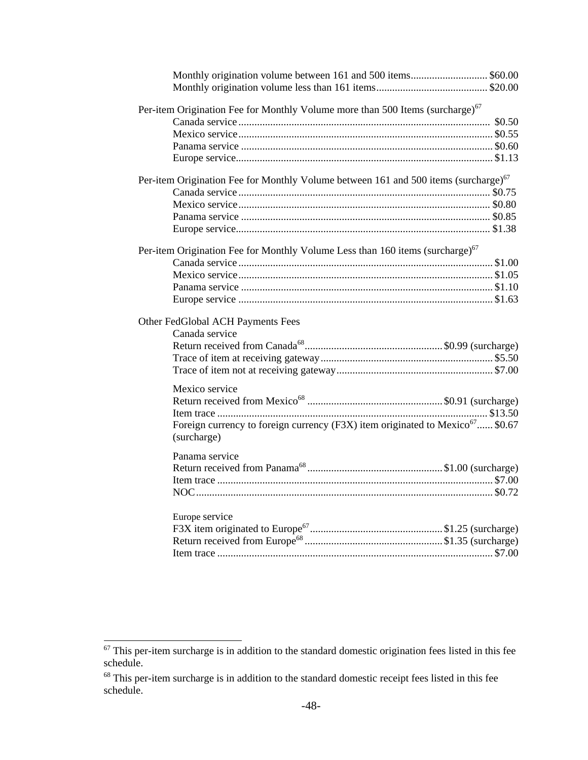<span id="page-47-1"></span><span id="page-47-0"></span>

| Monthly origination volume between 161 and 500 items \$60.00                                                               |  |
|----------------------------------------------------------------------------------------------------------------------------|--|
| Per-item Origination Fee for Monthly Volume more than 500 Items (surcharge) <sup>67</sup>                                  |  |
| Per-item Origination Fee for Monthly Volume between 161 and 500 items (surcharge) <sup>67</sup>                            |  |
| Per-item Origination Fee for Monthly Volume Less than 160 items (surcharge) <sup>67</sup>                                  |  |
| Other FedGlobal ACH Payments Fees<br>Canada service                                                                        |  |
| Mexico service<br>Foreign currency to foreign currency (F3X) item originated to Mexico <sup>67</sup> \$0.67<br>(surcharge) |  |
| Panama service                                                                                                             |  |
| Europe service                                                                                                             |  |

 $67$  This per-item surcharge is in addition to the standard domestic origination fees listed in this fee schedule.

<sup>&</sup>lt;sup>68</sup> This per-item surcharge is in addition to the standard domestic receipt fees listed in this fee schedule.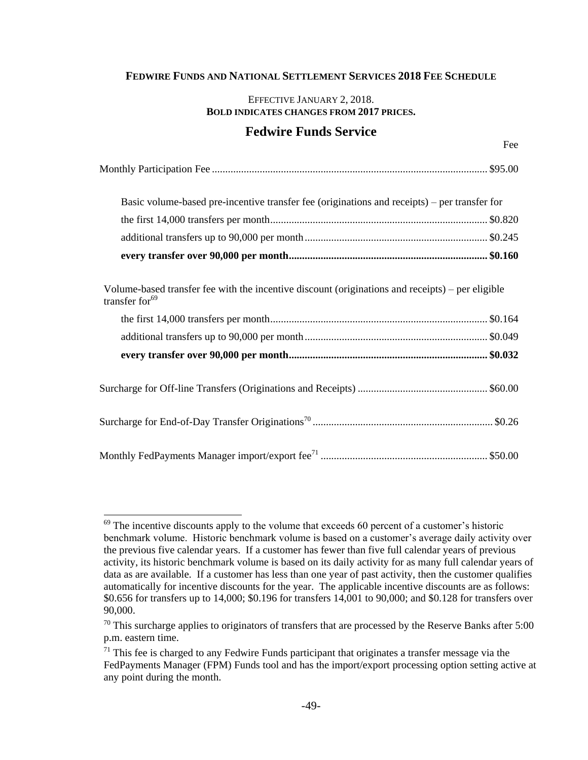## **FEDWIRE FUNDS AND NATIONAL SETTLEMENT SERVICES 2018 FEE SCHEDULE**

## EFFECTIVE JANUARY 2, 2018. **BOLD INDICATES CHANGES FROM 2017 PRICES.**

# **Fedwire Funds Service**

| Basic volume-based pre-incentive transfer fee (originations and receipts) – per transfer for                          |
|-----------------------------------------------------------------------------------------------------------------------|
|                                                                                                                       |
|                                                                                                                       |
|                                                                                                                       |
| Volume-based transfer fee with the incentive discount (originations and receipts) – per eligible<br>transfer for $69$ |
|                                                                                                                       |
|                                                                                                                       |
|                                                                                                                       |
|                                                                                                                       |
|                                                                                                                       |
|                                                                                                                       |

 $69$  The incentive discounts apply to the volume that exceeds 60 percent of a customer's historic benchmark volume. Historic benchmark volume is based on a customer's average daily activity over the previous five calendar years. If a customer has fewer than five full calendar years of previous activity, its historic benchmark volume is based on its daily activity for as many full calendar years of data as are available. If a customer has less than one year of past activity, then the customer qualifies automatically for incentive discounts for the year. The applicable incentive discounts are as follows: \$0.656 for transfers up to 14,000; \$0.196 for transfers 14,001 to 90,000; and \$0.128 for transfers over 90,000.

 $70$  This surcharge applies to originators of transfers that are processed by the Reserve Banks after 5:00 p.m. eastern time.

 $71$  This fee is charged to any Fedwire Funds participant that originates a transfer message via the FedPayments Manager (FPM) Funds tool and has the import/export processing option setting active at any point during the month.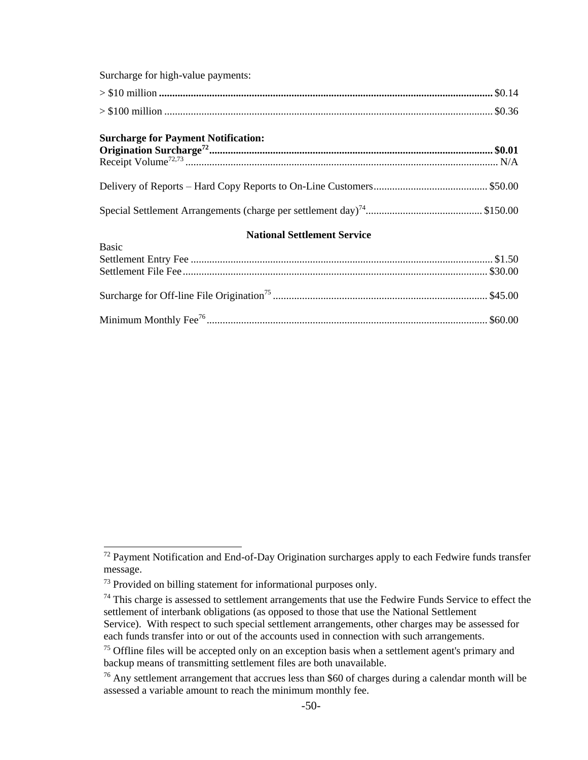<span id="page-49-0"></span>

| Surcharge for high-value payments:          |  |
|---------------------------------------------|--|
|                                             |  |
|                                             |  |
| <b>Surcharge for Payment Notification:</b>  |  |
|                                             |  |
|                                             |  |
|                                             |  |
| <b>National Settlement Service</b><br>Rasic |  |

| . |  |
|---|--|
|   |  |
|   |  |
|   |  |
|   |  |

 $72$  Payment Notification and End-of-Day Origination surcharges apply to each Fedwire funds transfer message.

<sup>&</sup>lt;sup>73</sup> Provided on billing statement for informational purposes only.

 $74$  This charge is assessed to settlement arrangements that use the Fedwire Funds Service to effect the settlement of interbank obligations (as opposed to those that use the National Settlement Service). With respect to such special settlement arrangements, other charges may be assessed for each funds transfer into or out of the accounts used in connection with such arrangements.

<sup>&</sup>lt;sup>75</sup> Offline files will be accepted only on an exception basis when a settlement agent's primary and backup means of transmitting settlement files are both unavailable.

 $76$  Any settlement arrangement that accrues less than \$60 of charges during a calendar month will be assessed a variable amount to reach the minimum monthly fee.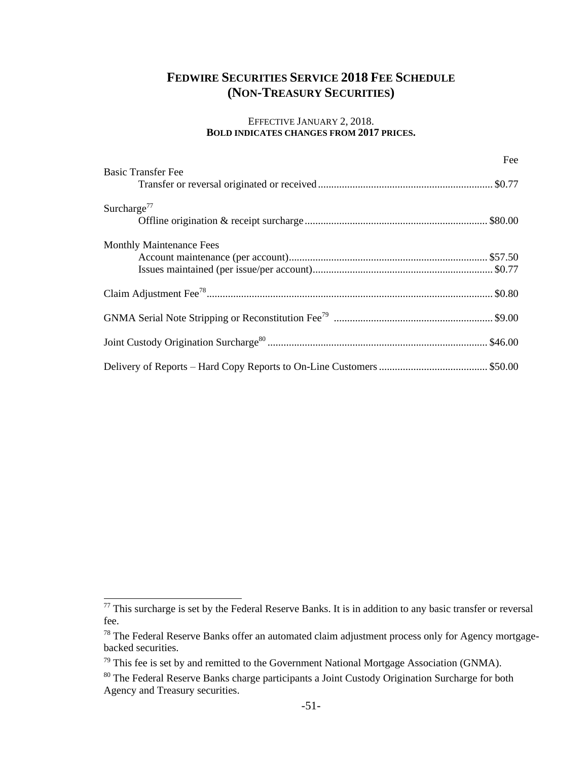# **FEDWIRE SECURITIES SERVICE 2018 FEE SCHEDULE (NON-TREASURY SECURITIES)**

#### EFFECTIVE JANUARY 2, 2018. **BOLD INDICATES CHANGES FROM 2017 PRICES.**

|                                 | Fee |
|---------------------------------|-----|
| <b>Basic Transfer Fee</b>       |     |
| Surcharge <sup>77</sup>         |     |
| <b>Monthly Maintenance Fees</b> |     |
|                                 |     |
|                                 |     |
|                                 |     |
|                                 |     |

 $77$  This surcharge is set by the Federal Reserve Banks. It is in addition to any basic transfer or reversal fee.

<sup>&</sup>lt;sup>78</sup> The Federal Reserve Banks offer an automated claim adjustment process only for Agency mortgagebacked securities.

 $79$  This fee is set by and remitted to the Government National Mortgage Association (GNMA).

<sup>80</sup> The Federal Reserve Banks charge participants a Joint Custody Origination Surcharge for both Agency and Treasury securities.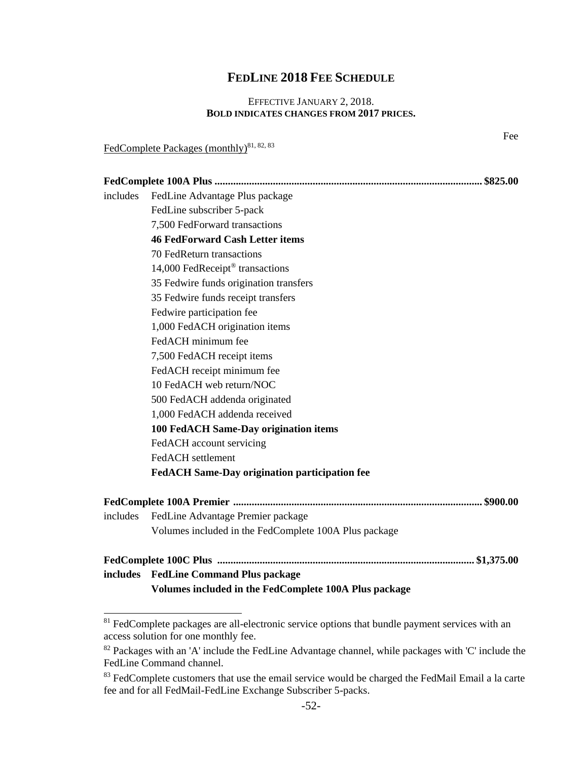# **FEDLINE 2018 FEE SCHEDULE**

#### EFFECTIVE JANUARY 2, 2018. **BOLD INDICATES CHANGES FROM 2017 PRICES.**

Fee

FedComplete Packages (monthly)<sup>81, 82, 83</sup>

| includes | FedLine Advantage Plus package                        |
|----------|-------------------------------------------------------|
|          | FedLine subscriber 5-pack                             |
|          | 7,500 FedForward transactions                         |
|          | <b>46 FedForward Cash Letter items</b>                |
|          | 70 FedReturn transactions                             |
|          | 14,000 FedReceipt <sup>®</sup> transactions           |
|          | 35 Fedwire funds origination transfers                |
|          | 35 Fedwire funds receipt transfers                    |
|          | Fedwire participation fee                             |
|          | 1,000 FedACH origination items                        |
|          | FedACH minimum fee                                    |
|          | 7,500 FedACH receipt items                            |
|          | FedACH receipt minimum fee                            |
|          | 10 FedACH web return/NOC                              |
|          | 500 FedACH addenda originated                         |
|          | 1,000 FedACH addenda received                         |
|          | 100 FedACH Same-Day origination items                 |
|          | FedACH account servicing                              |
|          | FedACH settlement                                     |
|          | <b>FedACH Same-Day origination participation fee</b>  |
|          |                                                       |
| includes | FedLine Advantage Premier package                     |
|          | Volumes included in the FedComplete 100A Plus package |
|          |                                                       |
| includes | <b>FedLine Command Plus package</b>                   |
|          | Volumes included in the FedComplete 100A Plus package |

 $81$  FedComplete packages are all-electronic service options that bundle payment services with an access solution for one monthly fee.

<sup>&</sup>lt;sup>82</sup> Packages with an 'A' include the FedLine Advantage channel, while packages with 'C' include the FedLine Command channel.

<sup>&</sup>lt;sup>83</sup> FedComplete customers that use the email service would be charged the FedMail Email a la carte fee and for all FedMail-FedLine Exchange Subscriber 5-packs.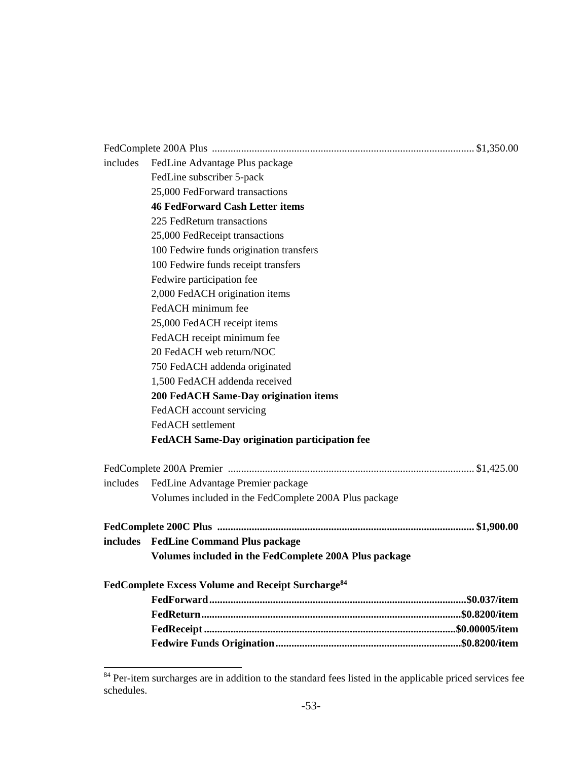| includes | FedLine Advantage Plus package                                |  |
|----------|---------------------------------------------------------------|--|
|          | FedLine subscriber 5-pack                                     |  |
|          | 25,000 FedForward transactions                                |  |
|          | <b>46 FedForward Cash Letter items</b>                        |  |
|          | 225 FedReturn transactions                                    |  |
|          | 25,000 FedReceipt transactions                                |  |
|          | 100 Fedwire funds origination transfers                       |  |
|          | 100 Fedwire funds receipt transfers                           |  |
|          | Fedwire participation fee                                     |  |
|          | 2,000 FedACH origination items                                |  |
|          | FedACH minimum fee                                            |  |
|          | 25,000 FedACH receipt items                                   |  |
|          | FedACH receipt minimum fee                                    |  |
|          | 20 FedACH web return/NOC                                      |  |
|          | 750 FedACH addenda originated                                 |  |
|          | 1,500 FedACH addenda received                                 |  |
|          | <b>200 FedACH Same-Day origination items</b>                  |  |
|          | FedACH account servicing                                      |  |
|          | FedACH settlement                                             |  |
|          | <b>FedACH Same-Day origination participation fee</b>          |  |
|          |                                                               |  |
| includes | FedLine Advantage Premier package                             |  |
|          | Volumes included in the FedComplete 200A Plus package         |  |
|          |                                                               |  |
|          |                                                               |  |
|          | includes FedLine Command Plus package                         |  |
|          | Volumes included in the FedComplete 200A Plus package         |  |
|          | FedComplete Excess Volume and Receipt Surcharge <sup>84</sup> |  |
|          |                                                               |  |
|          |                                                               |  |
|          |                                                               |  |
|          |                                                               |  |

<sup>&</sup>lt;sup>84</sup> Per-item surcharges are in addition to the standard fees listed in the applicable priced services fee schedules.

l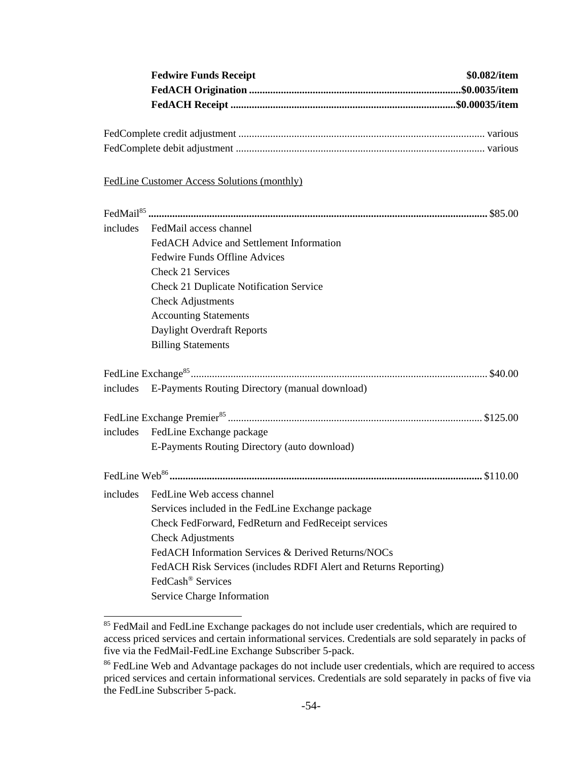<span id="page-53-0"></span>

|          | <b>Fedwire Funds Receipt</b>                                     | \$0.082/item |
|----------|------------------------------------------------------------------|--------------|
|          |                                                                  |              |
|          |                                                                  |              |
|          |                                                                  |              |
|          |                                                                  |              |
|          | FedLine Customer Access Solutions (monthly)                      |              |
|          |                                                                  |              |
| includes | FedMail access channel                                           |              |
|          | FedACH Advice and Settlement Information                         |              |
|          | <b>Fedwire Funds Offline Advices</b>                             |              |
|          | Check 21 Services                                                |              |
|          | <b>Check 21 Duplicate Notification Service</b>                   |              |
|          | <b>Check Adjustments</b>                                         |              |
|          | <b>Accounting Statements</b>                                     |              |
|          | Daylight Overdraft Reports                                       |              |
|          | <b>Billing Statements</b>                                        |              |
|          |                                                                  |              |
| includes | E-Payments Routing Directory (manual download)                   |              |
|          |                                                                  |              |
| includes | FedLine Exchange package                                         |              |
|          | E-Payments Routing Directory (auto download)                     |              |
|          |                                                                  |              |
|          | includes FedLine Web access channel                              |              |
|          | Services included in the FedLine Exchange package                |              |
|          | Check FedForward, FedReturn and FedReceipt services              |              |
|          | <b>Check Adjustments</b>                                         |              |
|          | FedACH Information Services & Derived Returns/NOCs               |              |
|          | FedACH Risk Services (includes RDFI Alert and Returns Reporting) |              |
|          | FedCash <sup>®</sup> Services                                    |              |
|          | Service Charge Information                                       |              |

<span id="page-53-1"></span><sup>&</sup>lt;sup>85</sup> FedMail and FedLine Exchange packages do not include user credentials, which are required to access priced services and certain informational services. Credentials are sold separately in packs of five via the FedMail-FedLine Exchange Subscriber 5-pack.

<sup>&</sup>lt;sup>86</sup> FedLine Web and Advantage packages do not include user credentials, which are required to access priced services and certain informational services. Credentials are sold separately in packs of five via the FedLine Subscriber 5-pack.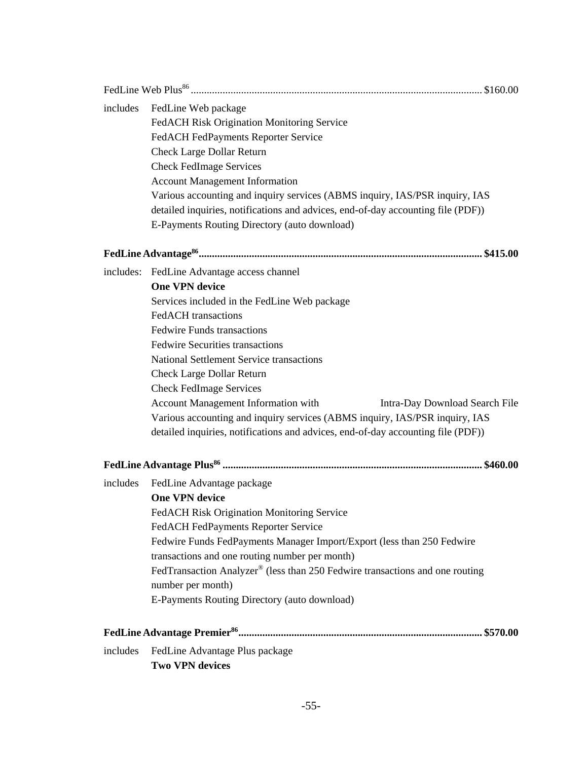| includes | FedLine Web package<br>FedACH Risk Origination Monitoring Service<br>FedACH FedPayments Reporter Service<br><b>Check Large Dollar Return</b><br><b>Check FedImage Services</b><br><b>Account Management Information</b><br>Various accounting and inquiry services (ABMS inquiry, IAS/PSR inquiry, IAS<br>detailed inquiries, notifications and advices, end-of-day accounting file (PDF))<br>E-Payments Routing Directory (auto download)                                                                                                                                                     |
|----------|------------------------------------------------------------------------------------------------------------------------------------------------------------------------------------------------------------------------------------------------------------------------------------------------------------------------------------------------------------------------------------------------------------------------------------------------------------------------------------------------------------------------------------------------------------------------------------------------|
|          |                                                                                                                                                                                                                                                                                                                                                                                                                                                                                                                                                                                                |
|          | includes: FedLine Advantage access channel<br><b>One VPN device</b><br>Services included in the FedLine Web package<br><b>FedACH</b> transactions<br><b>Fedwire Funds transactions</b><br><b>Fedwire Securities transactions</b><br>National Settlement Service transactions<br><b>Check Large Dollar Return</b><br><b>Check FedImage Services</b><br>Account Management Information with<br>Intra-Day Download Search File<br>Various accounting and inquiry services (ABMS inquiry, IAS/PSR inquiry, IAS<br>detailed inquiries, notifications and advices, end-of-day accounting file (PDF)) |
|          |                                                                                                                                                                                                                                                                                                                                                                                                                                                                                                                                                                                                |
| includes | FedLine Advantage package<br><b>One VPN device</b><br>FedACH Risk Origination Monitoring Service<br>FedACH FedPayments Reporter Service<br>Fedwire Funds FedPayments Manager Import/Export (less than 250 Fedwire<br>transactions and one routing number per month)<br>FedTransaction Analyzer® (less than 250 Fedwire transactions and one routing<br>number per month)<br>E-Payments Routing Directory (auto download)                                                                                                                                                                       |
|          |                                                                                                                                                                                                                                                                                                                                                                                                                                                                                                                                                                                                |
| includes | FedLine Advantage Plus package<br><b>Two VPN devices</b>                                                                                                                                                                                                                                                                                                                                                                                                                                                                                                                                       |

-55-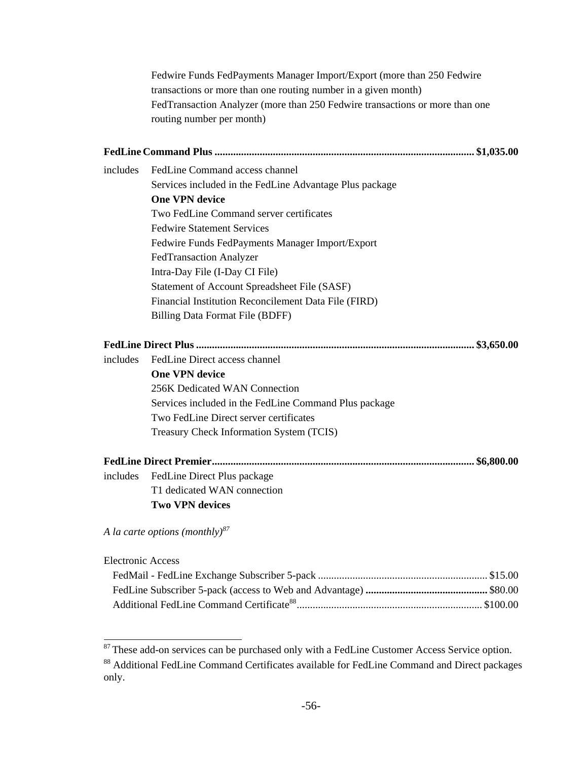|                          | Fedwire Funds FedPayments Manager Import/Export (more than 250 Fedwire       |
|--------------------------|------------------------------------------------------------------------------|
|                          | transactions or more than one routing number in a given month)               |
|                          | FedTransaction Analyzer (more than 250 Fedwire transactions or more than one |
|                          | routing number per month)                                                    |
|                          |                                                                              |
| includes                 | FedLine Command access channel                                               |
|                          | Services included in the FedLine Advantage Plus package                      |
|                          | <b>One VPN device</b>                                                        |
|                          | Two FedLine Command server certificates                                      |
|                          | <b>Fedwire Statement Services</b>                                            |
|                          | Fedwire Funds FedPayments Manager Import/Export                              |
|                          | <b>FedTransaction Analyzer</b>                                               |
|                          | Intra-Day File (I-Day CI File)                                               |
|                          | Statement of Account Spreadsheet File (SASF)                                 |
|                          | Financial Institution Reconcilement Data File (FIRD)                         |
|                          | Billing Data Format File (BDFF)                                              |
|                          |                                                                              |
| includes                 | FedLine Direct access channel                                                |
|                          | <b>One VPN device</b>                                                        |
|                          | 256K Dedicated WAN Connection                                                |
|                          | Services included in the FedLine Command Plus package                        |
|                          | Two FedLine Direct server certificates                                       |
|                          | Treasury Check Information System (TCIS)                                     |
|                          |                                                                              |
| includes                 | FedLine Direct Plus package                                                  |
|                          | T1 dedicated WAN connection                                                  |
|                          | <b>Two VPN devices</b>                                                       |
|                          | A la carte options (monthly) $^{87}$                                         |
| <b>Electronic Access</b> |                                                                              |

<sup>&</sup>lt;sup>87</sup> These add-on services can be purchased only with a FedLine Customer Access Service option. 88 Additional FedLine Command Certificates available for FedLine Command and Direct packages only.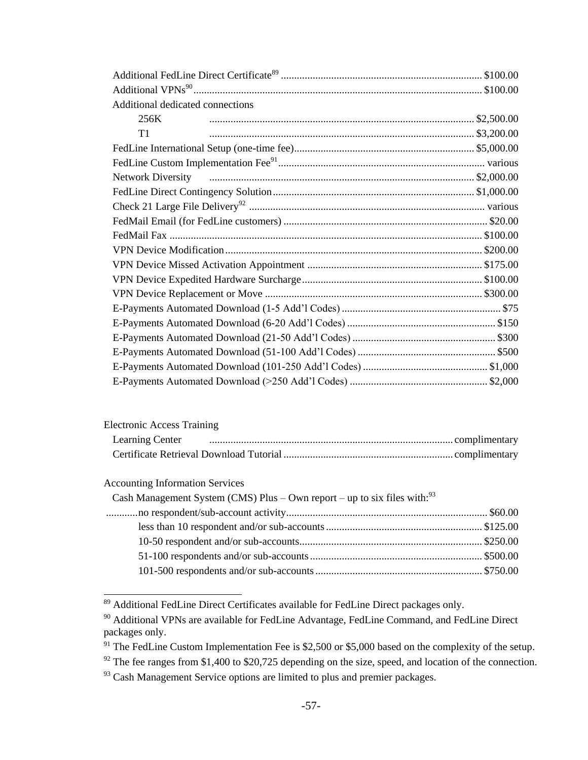| Additional dedicated connections |  |
|----------------------------------|--|
| 256K                             |  |
| T1                               |  |
|                                  |  |
|                                  |  |
| Network Diversity                |  |
|                                  |  |
|                                  |  |
|                                  |  |
|                                  |  |
|                                  |  |
|                                  |  |
|                                  |  |
|                                  |  |
|                                  |  |
|                                  |  |
|                                  |  |
|                                  |  |
|                                  |  |
|                                  |  |

| <b>Electronic Access Training</b> |  |  |
|-----------------------------------|--|--|
|                                   |  |  |
|                                   |  |  |

#### Accounting Information Services

| Cash Management System (CMS) Plus – Own report – up to six files with: $93$ |  |
|-----------------------------------------------------------------------------|--|
|                                                                             |  |
|                                                                             |  |
|                                                                             |  |
|                                                                             |  |
|                                                                             |  |

<sup>&</sup>lt;sup>89</sup> Additional FedLine Direct Certificates available for FedLine Direct packages only.

<sup>90</sup> Additional VPNs are available for FedLine Advantage, FedLine Command, and FedLine Direct packages only.

 $91$  The FedLine Custom Implementation Fee is \$2,500 or \$5,000 based on the complexity of the setup.

 $92$  The fee ranges from \$1,400 to \$20,725 depending on the size, speed, and location of the connection.

<sup>&</sup>lt;sup>93</sup> Cash Management Service options are limited to plus and premier packages.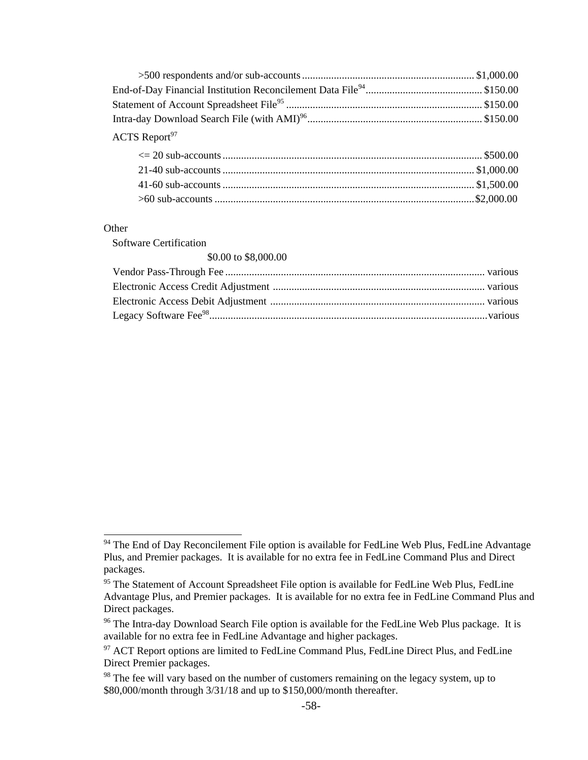| $ACTS$ Report <sup>97</sup> |  |
|-----------------------------|--|
|                             |  |

#### **Other**

 $\overline{a}$ 

Software Certification

#### \$0.00 to \$8,000.00

<sup>&</sup>lt;sup>94</sup> The End of Day Reconcilement File option is available for FedLine Web Plus, FedLine Advantage Plus, and Premier packages. It is available for no extra fee in FedLine Command Plus and Direct packages.

<sup>&</sup>lt;sup>95</sup> The Statement of Account Spreadsheet File option is available for FedLine Web Plus, FedLine Advantage Plus, and Premier packages. It is available for no extra fee in FedLine Command Plus and Direct packages.

<sup>&</sup>lt;sup>96</sup> The Intra-day Download Search File option is available for the FedLine Web Plus package. It is available for no extra fee in FedLine Advantage and higher packages.

<sup>&</sup>lt;sup>97</sup> ACT Report options are limited to FedLine Command Plus, FedLine Direct Plus, and FedLine Direct Premier packages.

<sup>&</sup>lt;sup>98</sup> The fee will vary based on the number of customers remaining on the legacy system, up to \$80,000/month through 3/31/18 and up to \$150,000/month thereafter.